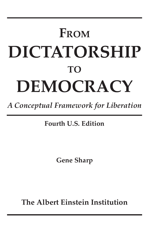# **From Dictatorship TO Democracy**

*A Conceptual Framework for Liberation*

**Fourth U.S. Edition**

**Gene Sharp**

**The Albert Einstein Institution**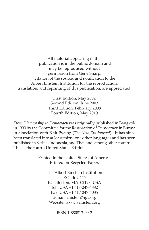All material appearing in this publication is in the public domain and may be reproduced without permission from Gene Sharp. Citation of the source, and notification to the Albert Einstein Institution for the reproduction, translation, and reprinting of this publication, are appreciated.

> First Edition, May 2002 Second Edition, June 2003 Third Edition, February 2008 Fourth Edition, May 2010

*From Dictatorship to Democracy* was originally published in Bangkok in 1993 by the Committee for the Restoration of Democracy in Burma in association with Khit Pyaing (*The New Era Journal*). It has since been translated into at least thirty-one other languages and has been published in Serbia, Indonesia, and Thailand, among other countries. This is the fourth United States Edition.

> Printed in the United States of America. Printed on Recycled Paper.

> > The Albert Einstein Institution P.O. Box 455 East Boston, MA 02128, USA Tel: USA +1 617-247-4882 Fax: USA +1 617-247-4035 E-mail: [einstein@igc.org](mailto:aeinstein.org) Website:<www.aeinstein.org>

> > > ISBN 1-880813-09-2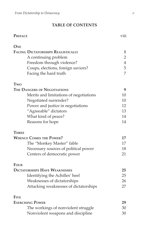#### **Table of Contents**

| <b>PREFACE</b>                         | viii           |
|----------------------------------------|----------------|
| ONE                                    |                |
| FACING DICTATORSHIPS REALISTICALLY     | 1              |
| A continuing problem                   | 2              |
| Freedom through violence?              | $\overline{4}$ |
| Coups, elections, foreign saviors?     | 5              |
| Facing the hard truth                  | $\overline{7}$ |
| Two                                    |                |
| THE DANGERS OF NEGOTIATIONS            | 9              |
| Merits and limitations of negotiations | 10             |
| Negotiated surrender?                  | 10             |
| Power and justice in negotiations      | 12             |
| "Agreeable" dictators                  | 13             |
| What kind of peace?                    | 14             |
| Reasons for hope                       | 14             |
| <b>THREE</b>                           |                |
| <b>WHENCE COMES THE POWER?</b>         | 17             |
| The "Monkey Master" fable              | 17             |
| Necessary sources of political power   | 18             |
| Centers of democratic power            | 21             |
| <b>FOUR</b>                            |                |
| <b>DICTATORSHIPS HAVE WEAKNESSES</b>   | 25             |
| Identifying the Achilles' heel         | 25             |
| Weaknesses of dictatorships            | 26             |
| Attacking weaknesses of dictatorships  | 27             |
| <b>FIVE</b>                            |                |
| <b>EXERCISING POWER</b>                | 29             |
| The workings of nonviolent struggle    | 30             |
| Nonviolent weapons and discipline      | 30             |
|                                        |                |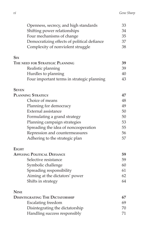|              | Openness, secrecy, and high standards       | 33 |
|--------------|---------------------------------------------|----|
|              | Shifting power relationships                | 34 |
|              | Four mechanisms of change                   | 35 |
|              | Democratizing effects of political defiance | 37 |
|              | Complexity of nonviolent struggle           | 38 |
|              |                                             |    |
| $S_{IX}$     |                                             |    |
|              | THE NEED FOR STRATEGIC PLANNING             | 39 |
|              | Realistic planning                          | 39 |
|              | Hurdles to planning                         | 40 |
|              | Four important terms in strategic planning  | 43 |
| <b>SEVEN</b> |                                             |    |
|              | PLANNING STRATEGY                           | 47 |
|              | Choice of means                             | 48 |
|              | Planning for democracy                      | 49 |
|              | External assistance                         | 50 |
|              | Formulating a grand strategy                | 50 |
|              | Planning campaign strategies                | 53 |
|              | Spreading the idea of noncooperation        | 55 |
|              | Repression and countermeasures              | 56 |
|              | Adhering to the strategic plan              | 57 |
|              |                                             |    |
| <b>EIGHT</b> |                                             |    |
|              | <b>APPLYING POLITICAL DEFIANCE</b>          | 59 |
|              | Selective resistance                        | 59 |
|              | Symbolic challenge                          | 60 |
|              | Spreading responsibility                    | 61 |
|              | Aiming at the dictators' power              | 62 |
|              | Shifts in strategy                          | 64 |
| <b>NINE</b>  |                                             |    |
|              | <b>DISINTEGRATING THE DICTATORSHIP</b>      | 67 |
|              | <b>Escalating freedom</b>                   | 69 |
|              | Disintegrating the dictatorship             | 70 |
|              | Handling success responsibly                | 71 |
|              |                                             |    |
|              |                                             |    |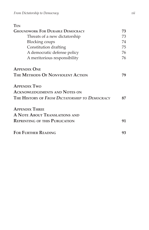| <b>TEN</b>                                    |    |  |  |
|-----------------------------------------------|----|--|--|
| <b>GROUNDWORK FOR DURABLE DEMOCRACY</b>       |    |  |  |
| Threats of a new dictatorship                 | 73 |  |  |
| <b>Blocking coups</b>                         | 74 |  |  |
| Constitution drafting                         | 75 |  |  |
| A democratic defense policy                   | 76 |  |  |
| A meritorious responsibility                  | 76 |  |  |
| <b>APPENDIX ONE</b>                           |    |  |  |
| THE METHODS OF NONVIOLENT ACTION              | 79 |  |  |
| <b>APPENDIX TWO</b>                           |    |  |  |
| <b>ACKNOWLEDGEMENTS AND NOTES ON</b>          |    |  |  |
| THE HISTORY OF FROM DICTATORSHIP TO DEMOCRACY |    |  |  |
| <b>APPENDIX THREE</b>                         |    |  |  |
| A NOTE ABOUT TRANSLATIONS AND                 |    |  |  |
| <b>REPRINTING OF THIS PUBLICATION</b>         | 91 |  |  |
| <b>FOR FURTHER READING</b>                    | 93 |  |  |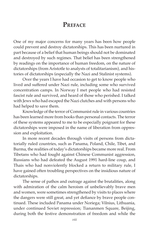### **Preface**

One of my major concerns for many years has been how people could prevent and destroy dictatorships. This has been nurtured in part because of a belief that human beings should not be dominated and destroyed by such regimes. That belief has been strengthened by readings on the importance of human freedom, on the nature of dictatorships (from Aristotle to analysts of totalitarianism), and histories of dictatorships (especially the Nazi and Stalinist systems).

Over the years I have had occasion to get to know people who lived and suffered under Nazi rule, including some who survived concentration camps. In Norway I met people who had resisted fascist rule and survived, and heard of those who perished. I talked with Jews who had escaped the Nazi clutches and with persons who had helped to save them.

Knowledge of the terror of Communist rule in various countries has been learned more from books than personal contacts. The terror of these systems appeared to me to be especially poignant for these dictatorships were imposed in the name of liberation from oppression and exploitation.

In more recent decades through visits of persons from dictatorially ruled countries, such as Panama, Poland, Chile, Tibet, and Burma, the realities of today's dictatorships became more real. From Tibetans who had fought against Chinese Communist aggression, Russians who had defeated the August 1991 hard-line coup, and Thais who had nonviolently blocked a return to military rule, I have gained often troubling perspectives on the insidious nature of dictatorships.

The sense of pathos and outrage against the brutalities, along with admiration of the calm heroism of unbelievably brave men and women, were sometimes strengthened by visits to places where the dangers were still great, and yet defiance by brave people continued. These included Panama under Noriega; Vilnius, Lithuania, under continued Soviet repression; Tiananmen Square, Beijing, during both the festive demonstration of freedom and while the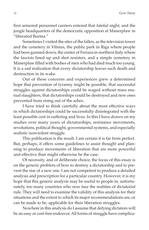first armored personnel carriers entered that fateful night; and the jungle headquarters of the democratic opposition at Manerplaw in "liberated Burma."

Sometimes I visited the sites of the fallen, as the television tower and the cemetery in Vilnius, the public park in Riga where people had been gunned down, the center of Ferrara in northern Italy where the fascists lined up and shot resisters, and a simple cemetery in Manerplaw filled with bodies of men who had died much too young. It is a sad realization that every dictatorship leaves such death and destruction in its wake.

Out of these concerns and experiences grew a determined hope that prevention of tyranny might be possible, that successful struggles against dictatorships could be waged without mass mutual slaughters, that dictatorships could be destroyed and new ones prevented from rising out of the ashes.

I have tried to think carefully about the most effective ways in which dictatorships could be successfully disintegrated with the least possible cost in suffering and lives. In this I have drawn on my studies over many years of dictatorships, resistance movements, revolutions, political thought, governmental systems, and especially realistic nonviolent struggle.

This publication is the result. I am certain it is far from perfect. But, perhaps, it offers some guidelines to assist thought and planning to produce movements of liberation that are more powerful and effective than might otherwise be the case.

Of necessity, and of deliberate choice, the focus of this essay is on the generic problem of how to destroy a dictatorship and to prevent the rise of a new one. I am not competent to produce a detailed analysis and prescription for a particular country. However, it is my hope that this generic analysis may be useful to people in, unfortunately, too many countries who now face the realities of dictatorial rule. They will need to examine the validity of this analysis for their situations and the extent to which its major recommendations are, or can be made to be, applicable for their liberation struggles.

Nowhere in this analysis do I assume that defying dictators will be an easy or cost-free endeavor. All forms of struggle have complica-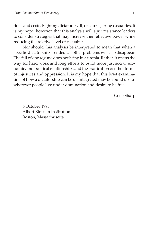tions and costs. Fighting dictators will, of course, bring casualties. It is my hope, however, that this analysis will spur resistance leaders to consider strategies that may increase their effective power while reducing the relative level of casualties.

Nor should this analysis be interpreted to mean that when a specific dictatorship is ended, all other problems will also disappear. The fall of one regime does not bring in a utopia. Rather, it opens the way for hard work and long efforts to build more just social, economic, and political relationships and the eradication of other forms of injustices and oppression. It is my hope that this brief examination of how a dictatorship can be disintegrated may be found useful wherever people live under domination and desire to be free.

Gene Sharp

6 October 1993 Albert Einstein Institution Boston, Massachusetts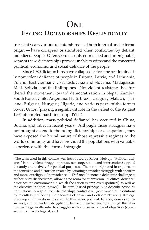# **One**

### **Facing Dictatorships Realistically**

In recent years various dictatorships — of both internal and external origin — have collapsed or stumbled when confronted by defiant, mobilized people. Often seen as firmly entrenched and impregnable, some of these dictatorships proved unable to withstand the concerted political, economic, and social defiance of the people.

Since 1980 dictatorships have collapsed before the predominantly nonviolent defiance of people in Estonia, Latvia, and Lithuania, Poland, East Germany, Czechoslovakia and Slovenia, Madagascar, Mali, Bolivia, and the Philippines. Nonviolent resistance has furthered the movement toward democratization in Nepal, Zambia, South Korea, Chile, Argentina, Haiti, Brazil, Uruguay, Malawi, Thailand, Bulgaria, Hungary, Nigeria, and various parts of the former Soviet Union (playing a significant role in the defeat of the August 1991 attempted hard-line coup d'état).

In addition, mass political defiance<sup>1</sup> has occurred in China, Burma, and Tibet in recent years. Although those struggles have not brought an end to the ruling dictatorships or occupations, they have exposed the brutal nature of those repressive regimes to the world community and have provided the populations with valuable experience with this form of struggle.

<sup>&</sup>lt;sup>1</sup> The term used in this context was introduced by Robert Helvey. "Political defiance" is nonviolent struggle (protest, noncooperation, and intervention) applied defiantly and actively for political purposes. The term originated in response to the confusion and distortion created by equating nonviolent struggle with pacifism and moral or religious "nonviolence." "Defiance" denotes a deliberate challenge to authority by disobedience, allowing no room for submission. "Political defiance" describes the environment in which the action is employed (political) as well as the objective (political power). The term is used principally to describe action by populations to regain from dictatorships control over governmental institutions by relentlessly attacking their sources of power and deliberately using strategic planning and operations to do so. In this paper, political defiance, nonviolent resistance, and nonviolent struggle will be used interchangeably, although the latter two terms generally refer to struggles with a broader range of objectives (social, economic, psychological, etc.).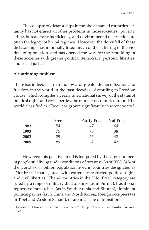The collapse of dictatorships in the above named countries certainly has not erased all other problems in those societies: poverty, crime, bureaucratic inefficiency, and environmental destruction are often the legacy of brutal regimes. However, the downfall of these dictatorships has minimally lifted much of the suffering of the victims of oppression, and has opened the way for the rebuilding of these societies with greater political democracy, personal liberties, and social justice.

#### **A continuing problem**

There has indeed been a trend towards greater democratization and freedom in the world in the past decades. According to Freedom House, which compiles a yearly international survey of the status of political rights and civil liberties, the number of countries around the world classified as "Free" has grown significantly in recent years:<sup>2</sup>

|      | Free | <b>Partly Free</b> | <b>Not Free</b> |
|------|------|--------------------|-----------------|
| 1983 | 54   | 47                 | 64              |
| 1993 | 75   | 73                 | 38              |
| 2003 | 89   | 55                 | 48              |
| 2009 | 89   | 62                 | 49              |

However, this positive trend is tempered by the large numbers of people still living under conditions of tyranny. As of 2008, 34% of the world's 6.68 billion population lived in countries designated as "Not Free,"<sup>3</sup> that is, areas with extremely restricted political rights and civil liberties. The 42 countries in the "Not Free" category are ruled by a range of military dictatorships (as in Burma), traditional repressive monarchies (as in Saudi Arabia and Bhutan), dominant political parties (as in China and North Korea), foreign occupiers (as in Tibet and Western Sahara), or are in a state of transition.

2 Freedom House, *Freedom in the World*, <http://www.freedomhouse.org.> <sup>3</sup> *Ibid*.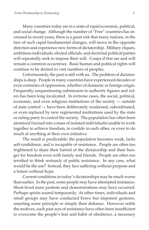Many countries today are in a state of rapid economic, political, and social change. Although the number of "Free" countries has increased in recent years, there is a great risk that many nations, in the face of such rapid fundamental changes, will move in the opposite direction and experience new forms of dictatorship. Military cliques, ambitious individuals, elected officials, and doctrinal political parties will repeatedly seek to impose their will. Coups d'état are and will remain a common occurrence. Basic human and political rights will continue to be denied to vast numbers of peoples.

Unfortunately, the past is still with us. The problem of dictatorships is deep. People in many countries have experienced decades or even centuries of oppression, whether of domestic or foreign origin. Frequently, unquestioning submission to authority figures and rulers has been long inculcated. In extreme cases, the social, political, economic, and even religious institutions of the society — outside of state control — have been deliberately weakened, subordinated, or even replaced by new regimented institutions used by the state or ruling party to control the society. The population has often been atomized (turned into a mass of isolated individuals) unable to work together to achieve freedom, to confide in each other, or even to do much of anything at their own initiative.

The result is predictable: the population becomes weak, lacks self-confidence, and is incapable of resistance. People are often too frightened to share their hatred of the dictatorship and their hunger for freedom even with family and friends. People are often too terrified to think seriously of public resistance. In any case, what would be the use? Instead, they face suffering without purpose and a future without hope.

Current conditions in today's dictatorships may be much worse than earlier. In the past, some people may have attempted resistance. Short-lived mass protests and demonstrations may have occurred. Perhaps spirits soared temporarily. At other times, individuals and small groups may have conducted brave but impotent gestures, asserting some principle or simply their defiance. However noble the motives, such past acts of resistance have often been insufficient to overcome the people's fear and habit of obedience, a necessary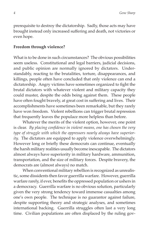prerequisite to destroy the dictatorship. Sadly, those acts may have brought instead only increased suffering and death, not victories or even hope.

#### **Freedom through violence?**

What is to be done in such circumstances? The obvious possibilities seem useless. Constitutional and legal barriers, judicial decisions, and public opinion are normally ignored by dictators. Understandably, reacting to the brutalities, torture, disappearances, and killings, people often have concluded that only violence can end a dictatorship. Angry victims have sometimes organized to fight the brutal dictators with whatever violent and military capacity they could muster, despite the odds being against them. These people have often fought bravely, at great cost in suffering and lives. Their accomplishments have sometimes been remarkable, but they rarely have won freedom. Violent rebellions can trigger brutal repression that frequently leaves the populace more helpless than before.

Whatever the merits of the violent option, however, one point is clear. *By placing confidence in violent means, one has chosen the very type of struggle with which the oppressors nearly always have superiority.* The dictators are equipped to apply violence overwhelmingly. However long or briefly these democrats can continue, eventually the harsh military realities usually become inescapable. The dictators almost always have superiority in military hardware, ammunition, transportation, and the size of military forces. Despite bravery, the democrats are (almost always) no match.

When conventional military rebellion is recognized as unrealistic, some dissidents then favor guerrilla warfare. However, guerrilla warfare rarely, if ever, benefits the oppressed population or ushers in a democracy. Guerrilla warfare is no obvious solution, particularly given the very strong tendency toward immense casualties among one's own people. The technique is no guarantor against failure, despite supporting theory and strategic analyses, and sometimes international backing. Guerrilla struggles often last a very long time. Civilian populations are often displaced by the ruling gov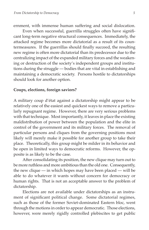ernment, with immense human suffering and social dislocation.

Even when successful, guerrilla struggles often have significant long-term negative structural consequences. Immediately, the attacked regime becomes more dictatorial as a result of its countermeasures. If the guerrillas should finally succeed, the resulting new regime is often more dictatorial than its predecessor due to the centralizing impact of the expanded military forces and the weakening or destruction of the society's independent groups and institutions during the struggle — bodies that are vital in establishing and maintaining a democratic society. Persons hostile to dictatorships should look for another option.

#### **Coups, elections, foreign saviors?**

A military coup d'état against a dictatorship might appear to be relatively one of the easiest and quickest ways to remove a particularly repugnant regime. However, there are very serious problems with that technique. Most importantly, it leaves in place the existing maldistribution of power between the population and the elite in control of the government and its military forces. The removal of particular persons and cliques from the governing positions most likely will merely make it possible for another group to take their place. Theoretically, this group might be milder in its behavior and be open in limited ways to democratic reforms. However, the opposite is as likely to be the case.

After consolidating its position, the new clique may turn out to be more ruthless and more ambitious than the old one. Consequently, the new clique — in which hopes may have been placed — will be able to do whatever it wants without concern for democracy or human rights. That is not an acceptable answer to the problem of dictatorship.

Elections are not available under dictatorships as an instrument of significant political change. Some dictatorial regimes, such as those of the former Soviet-dominated Eastern bloc, went through the motions in order to appear democratic. Those elections, however, were merely rigidly controlled plebiscites to get public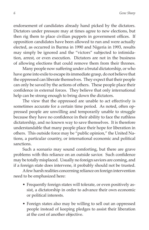endorsement of candidates already hand picked by the dictators. Dictators under pressure may at times agree to new elections, but then rig them to place civilian puppets in government offices. If opposition candidates have been allowed to run and were actually elected, as occurred in Burma in 1990 and Nigeria in 1993, results may simply be ignored and the "victors" subjected to intimidation, arrest, or even execution. Dictators are not in the business of allowing elections that could remove them from their thrones.

Many people now suffering under a brutal dictatorship, or who have gone into exile to escape its immediate grasp, do not believe that the oppressed can liberate themselves. They expect that their people can only be saved by the actions of others. These people place their confidence in external forces. They believe that only international help can be strong enough to bring down the dictators.

The view that the oppressed are unable to act effectively is sometimes accurate for a certain time period. As noted, often oppressed people are unwilling and temporarily unable to struggle because they have no confidence in their ability to face the ruthless dictatorship, and no known way to save themselves. It is therefore understandable that many people place their hope for liberation in others. This outside force may be "public opinion," the United Nations, a particular country, or international economic and political sanctions.

Such a scenario may sound comforting, but there are grave problems with this reliance on an outside savior. Such confidence may be totally misplaced. Usually no foreign saviors are coming, and if a foreign state does intervene, it probably should not be trusted.

A few harsh realities concerning reliance on foreign intervention need to be emphasized here:

- Frequently foreign states will tolerate, or even positively as sist, a dictatorship in order to advance their own economic or political interests.
- Foreign states also may be willing to sell out an oppressed people instead of keeping pledges to assist their liberation at the cost of another objective.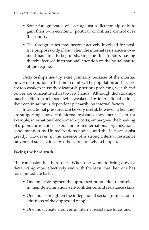- Some foreign states will act against a dictatorship only to gain their own economic, political, or military control over the country.
- The foreign states may become actively involved for posi tive purposes only if and when the internal resistance move ment has already begun shaking the dictatorship, having thereby focused international attention on the brutal nature of the regime.

Dictatorships usually exist primarily because of the internal power distribution in the home country. The population and society are too weak to cause the dictatorship serious problems, wealth and power are concentrated in too few hands. Although dictatorships may benefit from or be somewhat weakened by international actions, their continuation is dependent primarily on internal factors.

International pressures can be very useful, however, when they are supporting a powerful internal resistance movement. Then, for example, international economic boycotts, embargoes, the breaking of diplomatic relations, expulsion from international organizations, condemnation by United Nations bodies, and the like can assist greatly. However, in the absence of a strong internal resistance movement such actions by others are unlikely to happen.

#### **Facing the hard truth**

The conclusion is a hard one. When one wants to bring down a dictatorship most effectively and with the least cost then one has four immediate tasks:

- One must strengthen the oppressed population themselves in their determination, self-confidence, and resistance skills;
- One must strengthen the independent social groups and in stitutions of the oppressed people;
- One must create a powerful internal resistance force; and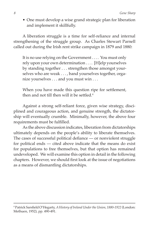• One must develop a wise grand strategic plan for liberation and implement it skillfully.

A liberation struggle is a time for self-reliance and internal strengthening of the struggle group. As Charles Stewart Parnell called out during the Irish rent strike campaign in 1879 and 1880:

It is no use relying on the Government . . . . You must only rely upon your own determination . . . . [H]elp yourselves by standing together . . . strengthen those amongst yourselves who are weak . . . , band yourselves together, organize yourselves . . . and you must win . . .

When you have made this question ripe for settlement, then and not till then will it be settled.<sup>4</sup>

Against a strong self-reliant force, given wise strategy, disciplined and courageous action, and genuine strength, the dictatorship will eventually crumble. Minimally, however, the above four requirements must be fulfilled.

As the above discussion indicates, liberation from dictatorships ultimately depends on the people's ability to liberate themselves. The cases of successful political defiance — or nonviolent struggle for political ends — cited above indicate that the means do exist for populations to free themselves, but that option has remained undeveloped. We will examine this option in detail in the following chapters. However, we should first look at the issue of negotiations as a means of dismantling dictatorships.

<sup>4</sup> Patrick Sarsfield O'Hegarty, *A History of Ireland Under the Union, 1880-1922* (London: Methuen, 1952), pp. 490-491.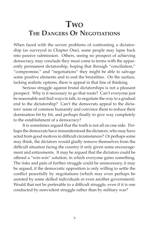### **Two The Dangers Of Negotiations**

When faced with the severe problems of confronting a dictatorship (as surveyed in Chapter One), some people may lapse back into passive submission. Others, seeing no prospect of achieving democracy, may conclude they must come to terms with the apparently permanent dictatorship, hoping that through "conciliation," "compromise," and "negotiations" they might be able to salvage some positive elements and to end the brutalities. On the surface, lacking realistic options, there is appeal in that line of thinking.

Serious struggle against brutal dictatorships is not a pleasant prospect. Why is it necessary to go that route? Can't everyone just be reasonable and find ways to talk, to negotiate the way to a gradual end to the dictatorship? Can't the democrats appeal to the dictators' sense of common humanity and convince them to reduce their domination bit by bit, and perhaps finally to give way completely to the establishment of a democracy?

It is sometimes argued that the truth is not all on one side. Perhaps the democrats have misunderstood the dictators, who may have acted from good motives in difficult circumstances? Or perhaps some may think, the dictators would gladly remove themselves from the difficult situation facing the country if only given some encouragement and enticements. It may be argued that the dictators could be offered a "win-win" solution, in which everyone gains something. The risks and pain of further struggle could be unnecessary, it may be argued, if the democratic opposition is only willing to settle the conflict peacefully by negotiations (which may even perhaps be assisted by some skilled individuals or even another government). Would that not be preferable to a difficult struggle, even if it is one conducted by nonviolent struggle rather than by military war?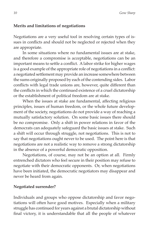#### **Merits and limitations of negotiations**

Negotiations are a very useful tool in resolving certain types of issues in conflicts and should not be neglected or rejected when they are appropriate.

In some situations where no fundamental issues are at stake, and therefore a compromise is acceptable, negotiations can be an important means to settle a conflict. A labor strike for higher wages is a good example of the appropriate role of negotiations in a conflict: a negotiated settlement may provide an increase somewhere between the sums originally proposed by each of the contending sides. Labor conflicts with legal trade unions are, however, quite different than the conflicts in which the continued existence of a cruel dictatorship or the establishment of political freedom are at stake.

When the issues at stake are fundamental, affecting religious principles, issues of human freedom, or the whole future development of the society, negotiations do not provide a way of reaching a mutually satisfactory solution. On some basic issues there should be no compromise. Only a shift in power relations in favor of the democrats can adequately safeguard the basic issues at stake. Such a shift will occur through struggle, not negotiations. This is not to say that negotiations ought never to be used. The point here is that negotiations are not a realistic way to remove a strong dictatorship in the absence of a powerful democratic opposition.

Negotiations, of course, may not be an option at all. Firmly entrenched dictators who feel secure in their position may refuse to negotiate with their democratic opponents. Or, when negotiations have been initiated, the democratic negotiators may disappear and never be heard from again.

#### **Negotiated surrender?**

Individuals and groups who oppose dictatorship and favor negotiations will often have good motives. Especially when a military struggle has continued for years against a brutal dictatorship without final victory, it is understandable that all the people of whatever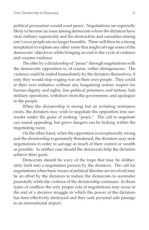political persuasion would want peace. Negotiations are especially likely to become an issue among democrats where the dictators have clear military superiority and the destruction and casualties among one's own people are no longer bearable. There will then be a strong temptation to explore any other route that might salvage some of the democrats' objectives while bringing an end to the cycle of violence and counter-violence.

The offer by a dictatorship of "peace" through negotiations with the democratic opposition is, of course, rather disingenuous. The violence could be ended immediately by the dictators themselves, if only they would stop waging war on their own people. They could at their own initiative without any bargaining restore respect for human dignity and rights, free political prisoners, end torture, halt military operations, withdraw from the government, and apologize to the people.

When the dictatorship is strong but an irritating resistance exists, the dictators may wish to negotiate the opposition into surrender under the guise of making "peace." The call to negotiate can sound appealing, but grave dangers can be lurking within the negotiating room.

On the other hand, when the opposition is exceptionally strong and the dictatorship is genuinely threatened, the dictators may seek negotiations in order to salvage as much of their control or wealth as possible. In neither case should the democrats help the dictators achieve their goals.

Democrats should be wary of the traps that may be deliberately built into a negotiation process by the dictators. The call for negotiations when basic issues of political liberties are involved may be an effort by the dictators to induce the democrats to surrender peacefully while the violence of the dictatorship continues. In those types of conflicts the only proper role of negotiations may occur at the end of a decisive struggle in which the power of the dictators has been effectively destroyed and they seek personal safe passage to an international airport.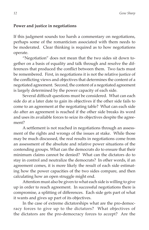#### **Power and justice in negotiations**

If this judgment sounds too harsh a commentary on negotiations, perhaps some of the romanticism associated with them needs to be moderated. Clear thinking is required as to how negotiations operate.

"Negotiation" does not mean that the two sides sit down together on a basis of equality and talk through and resolve the differences that produced the conflict between them. Two facts must be remembered. First, in negotiations it is not the relative justice of the conflicting views and objectives that determines the content of a negotiated agreement. Second, the content of a negotiated agreement is largely determined by the power capacity of each side.

Several difficult questions must be considered. What can each side do at a later date to gain its objectives if the other side fails to come to an agreement at the negotiating table? What can each side do after an agreement is reached if the other side breaks its word and uses its available forces to seize its objectives despite the agreement?

A settlement is not reached in negotiations through an assessment of the rights and wrongs of the issues at stake. While those may be much discussed, the real results in negotiations come from an assessment of the absolute and relative power situations of the contending groups. What can the democrats do to ensure that their minimum claims cannot be denied? What can the dictators do to stay in control and neutralize the democrats? In other words, if an agreement comes, it is more likely the result of each side estimating how the power capacities of the two sides compare, and then calculating how an open struggle might end.

Attention must also be given to what each side is willing to give up in order to reach agreement. In successful negotiations there is compromise, a splitting of differences. Each side gets part of what it wants and gives up part of its objectives.

In the case of extreme dictatorships what are the pro-democracy forces to give up to the dictators? What objectives of the dictators are the pro-democracy forces to accept? Are the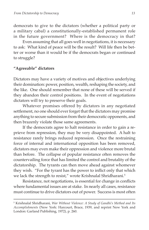democrats to give to the dictators (whether a political party or a military cabal) a constitutionally-established permanent role in the future government? Where is the democracy in that?

Even assuming that all goes well in negotiations, it is necessary to ask: What kind of peace will be the result? Will life then be better or worse than it would be if the democrats began or continued to struggle?

#### **"Agreeable" dictators**

Dictators may have a variety of motives and objectives underlying their domination: power, position, wealth, reshaping the society, and the like. One should remember that none of these will be served if they abandon their control positions. In the event of negotiations dictators will try to preserve their goals.

Whatever promises offered by dictators in any negotiated settlement, no one should ever forget that the dictators may promise anything to secure submission from their democratic opponents, and then brazenly violate those same agreements.

If the democrats agree to halt resistance in order to gain a reprieve from repression, they may be very disappointed. A halt to resistance rarely brings reduced repression. Once the restraining force of internal and international opposition has been removed, dictators may even make their oppression and violence more brutal than before. The collapse of popular resistance often removes the countervailing force that has limited the control and brutality of the dictatorship. The tyrants can then move ahead against whomever they wish. "For the tyrant has the power to inflict only that which we lack the strength to resist," wrote Krishnalal Shridharani.5

Resistance, not negotiations, is essential for change in conflicts where fundamental issues are at stake. In nearly all cases, resistance must continue to drive dictators out of power. Success is most often

<sup>5</sup> Krishnalal Shridharani, *War Without Violence: A Study of Gandhi's Method and Its Accomplishments* (New York: Harcourt, Brace, 1939, and reprint New York and London: Garland Publishing, 1972), p. 260.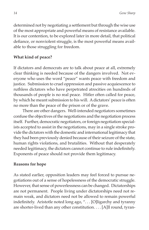determined not by negotiating a settlement but through the wise use of the most appropriate and powerful means of resistance available. It is our contention, to be explored later in more detail, that political defiance, or nonviolent struggle, is the most powerful means available to those struggling for freedom.

#### **What kind of peace?**

If dictators and democrats are to talk about peace at all, extremely clear thinking is needed because of the dangers involved. Not everyone who uses the word "peace" wants peace with freedom and justice. Submission to cruel oppression and passive acquiescence to ruthless dictators who have perpetrated atrocities on hundreds of thousands of people is no real peace. Hitler often called for peace, by which he meant submission to his will. A dictators' peace is often no more than the peace of the prison or of the grave.

There are other dangers. Well-intended negotiators sometimes confuse the objectives of the negotiations and the negotiation process itself. Further, democratic negotiators, or foreign negotiation specialists accepted to assist in the negotiations, may in a single stroke provide the dictators with the domestic and international legitimacy that they had been previously denied because of their seizure of the state, human rights violations, and brutalities. Without that desperately needed legitimacy, the dictators cannot continue to rule indefinitely. Exponents of peace should not provide them legitimacy.

#### **Reasons for hope**

As stated earlier, opposition leaders may feel forced to pursue negotiations out of a sense of hopelessness of the democratic struggle. However, that sense of powerlessness can be changed. Dictatorships are not permanent. People living under dictatorships need not remain weak, and dictators need not be allowed to remain powerful indefinitely. Aristotle noted long ago, ". . . [O]ligarchy and tyranny are shorter-lived than any other constitution. . . . [A]ll round, tyran-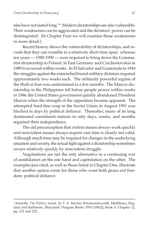nies have not lasted long."6 Modern dictatorships are also vulnerable. Their weaknesses can be aggravated and the dictators' power can be disintegrated. (In Chapter Four we will examine these weaknesses in more detail.)

Recent history shows the vulnerability of dictatorships, and reveals that they can crumble in a relatively short time span: whereas ten years — 1980-1990 — were required to bring down the Communist dictatorship in Poland, in East Germany and Czechoslovakia in 1989 it occurred within weeks. In El Salvador and Guatemala in 1944 the struggles against the entrenched brutal military dictators required approximately two weeks each. The militarily powerful regime of the Shah in Iran was undermined in a few months. The Marcos dictatorship in the Philippines fell before people power within weeks in 1986: the United States government quickly abandoned President Marcos when the strength of the opposition became apparent. The attempted hard-line coup in the Soviet Union in August 1991 was blocked in days by political defiance. Thereafter, many of its long dominated constituent nations in only days, weeks, and months regained their independence.

The old preconception that violent means always work quickly and nonviolent means always require vast time is clearly not valid. Although much time may be required for changes in the underlying situation and society, the actual fight against a dictatorship sometimes occurs relatively quickly by nonviolent struggle.

Negotiations are not the only alternative to a continuing war of annihilation on the one hand and capitulation on the other. The examples just cited, as well as those listed in Chapter One, illustrate that another option exists for those who want both peace *and* freedom: political defiance.

<sup>6</sup> Aristotle, *The Politics,* transl. by T. A. Sinclair (Harmondsworth, Middlesex, England and Baltimore, Maryland: Penguin Books 1976 [1962]), Book V, Chapter 12, pp. 231 and 232.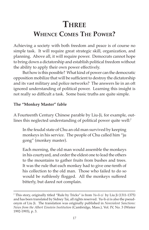## **Three Whence Comes The Power?**

Achieving a society with both freedom and peace is of course no simple task. It will require great strategic skill, organization, and planning. Above all, it will require power. Democrats cannot hope to bring down a dictatorship and establish political freedom without the ability to apply their own power effectively.

But how is this possible? What kind of power can the democratic opposition mobilize that will be sufficient to destroy the dictatorship and its vast military and police networks? The answers lie in an oft ignored understanding of political power. Learning this insight is not really so difficult a task. Some basic truths are quite simple.

#### **The "Monkey Master" fable**

A Fourteenth Century Chinese parable by Liu-Ji, for example, outlines this neglected understanding of political power quite well:7

In the feudal state of Chu an old man survived by keeping monkeys in his service. The people of Chu called him "ju gong" (monkey master).

Each morning, the old man would assemble the monkeys in his courtyard, and order the eldest one to lead the others to the mountains to gather fruits from bushes and trees. It was the rule that each monkey had to give one-tenth of his collection to the old man. Those who failed to do so would be ruthlessly flogged. All the monkeys suffered bitterly, but dared not complain.

<sup>7</sup> This story, originally titled "Rule by Tricks" is from *Yu-li-zi* by Liu Ji (1311-1375) and has been translated by Sidney Tai, all rights reserved. Yu-li-zi is also the pseudonym of Liu Ji. The translation was originally published in *Nonviolent Sanctions: News from the Albert Einstein Institution* (Cambridge, Mass.), Vol. IV, No. 3 (Winter 1992-1993), p. 3.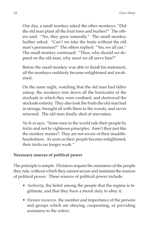One day, a small monkey asked the other monkeys: "Did the old man plant all the fruit trees and bushes?" The others said: "No, they grew naturally." The small monkey further asked: "Can't we take the fruits without the old man's permission?" The others replied: "Yes, we all can." The small monkey continued: "Then, why should we depend on the old man; why must we all serve him?"

Before the small monkey was able to finish his statement, all the monkeys suddenly became enlightened and awakened.

On the same night, watching that the old man had fallen asleep, the monkeys tore down all the barricades of the stockade in which they were confined, and destroyed the stockade entirely. They also took the fruits the old man had in storage, brought all with them to the woods, and never returned. The old man finally died of starvation.

Yu-li-zi says, "Some men in the world rule their people by tricks and not by righteous principles. Aren't they just like the monkey master? They are not aware of their muddleheadedness. As soon as their people become enlightened, their tricks no longer work."

#### **Necessary sources of political power**

The principle is simple. Dictators require the assistance of the people they rule, without which they cannot secure and maintain the sources of political power. These sources of political power include:

- *Authority,* the belief among the people that the regime is legitimate, and that they have a moral duty to obey it;
- *Human resources,* the number and importance of the persons and groups which are obeying, cooperating, or providing assistance to the rulers;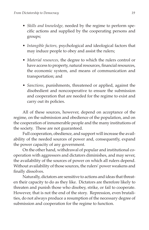- *Skills and knowledge,* needed by the regime to perform specific actions and supplied by the cooperating persons and groups;
- *Intangible factors,* psychological and ideological factors that may induce people to obey and assist the rulers;
- *Material resources,* the degree to which the rulers control or have access to property, natural resources, financial resources, the economic system, and means of communication and transportation; and
- *Sanctions,* punishments, threatened or applied, against the disobedient and noncooperative to ensure the submission and cooperation that are needed for the regime to exist and carry out its policies.

All of these sources, however, depend on acceptance of the regime, on the submission and obedience of the population, and on the cooperation of innumerable people and the many institutions of the society. These are not guaranteed.

Full cooperation, obedience, and support will increase the availability of the needed sources of power and, consequently, expand the power capacity of any government.

On the other hand, withdrawal of popular and institutional cooperation with aggressors and dictators diminishes, and may sever, the availability of the sources of power on which all rulers depend. Without availability of those sources, the rulers' power weakens and finally dissolves.

Naturally, dictators are sensitive to actions and ideas that threaten their capacity to do as they like. Dictators are therefore likely to threaten and punish those who disobey, strike, or fail to cooperate. However, that is not the end of the story. Repression, even brutalities, do not always produce a resumption of the necessary degree of submission and cooperation for the regime to function.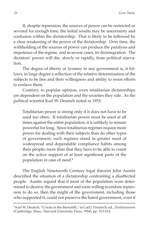If, despite repression, the sources of power can be restricted or severed for enough time, the initial results may be uncertainty and confusion within the dictatorship. That is likely to be followed by a clear weakening of the power of the dictatorship. Over time, the withholding of the sources of power can produce the paralysis and impotence of the regime, and in severe cases, its disintegration. The dictators' power will die, slowly or rapidly, from political starvation.

The degree of liberty or tyranny in any government is, it follows, in large degree a reflection of the relative determination of the subjects to be free and their willingness and ability to resist efforts to enslave them.

Contrary to popular opinion, even totalitarian dictatorships are dependent on the population and the societies they rule. As the political scientist Karl W. Deutsch noted in 1953:

Totalitarian power is strong only if it does not have to be used too often. If totalitarian power must be used at all times against the entire population, it is unlikely to remain powerful for long. Since totalitarian regimes require more power for dealing with their subjects than do other types of government, such regimes stand in greater need of widespread and dependable compliance habits among their people; more than that they have to be able to count on the active support of at least significant parts of the population in case of need.8

The English Nineteenth Century legal theorist John Austin described the situation of a dictatorship confronting a disaffected people. Austin argued that if most of the population were determined to destroy the government and were willing to endure repression to do so, then the might of the government, including those who supported it, could not preserve the hated government, even if

<sup>8</sup> Karl W. Deutsch, "Cracks in the Monolith," in Carl J. Friedrich, ed., *Totalitarianism* (Cambridge, Mass.: Harvard University Press, 1954), pp. 313-314.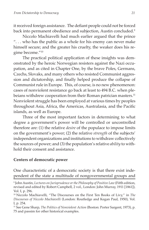it received foreign assistance. The defiant people could not be forced back into permanent obedience and subjection, Austin concluded.<sup>9</sup>

Niccolo Machiavelli had much earlier argued that the prince ". . . who has the public as a whole for his enemy can never make himself secure; and the greater his cruelty, the weaker does his regime become."10

The practical political application of these insights was demonstrated by the heroic Norwegian resisters against the Nazi occupation, and as cited in Chapter One, by the brave Poles, Germans, Czechs, Slovaks, and many others who resisted Communist aggression and dictatorship, and finally helped produce the collapse of Communist rule in Europe. This, of course, is no new phenomenon: cases of nonviolent resistance go back at least to 494 B.C. when plebeians withdrew cooperation from their Roman patrician masters.<sup>11</sup> Nonviolent struggle has been employed at various times by peoples throughout Asia, Africa, the Americas, Australasia, and the Pacific islands, as well as Europe.

Three of the most important factors in determining to what degree a government's power will be controlled or uncontrolled therefore are: (1) the relative *desire* of the populace to impose limits on the government's power; (2) the relative *strength* of the subjects' independent organizations and institutions to withdraw collectively the sources of power; and (3) the population's relative *ability* to withhold their consent and assistance.

#### **Centers of democratic power**

One characteristic of a democratic society is that there exist independent of the state a multitude of nongovernmental groups and

<sup>9</sup> John Austin, *Lectures on Jurisprudence or the Philosophy of Positive Law* (Fifth edition, revised and edited by Robert Campbell, 2 vol., London: John Murray, 1911 [1861]), Vol. I, p. 296.

<sup>10</sup> Niccolo Machiavelli, "The Discourses on the First Ten Books of Livy," in *The Discourses of Niccolo Machiavelli* (London: Routledge and Kegan Paul, 1950), Vol. I, p. 254.

<sup>11</sup> See Gene Sharp, *The Politics of Nonviolent Action* (Boston: Porter Sargent, 1973), p. 75 and passim for other historical examples.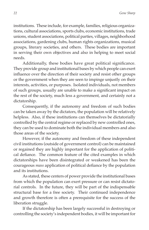institutions. These include, for example, families, religious organizations, cultural associations, sports clubs, economic institutions, trade unions, student associations, political parties, villages, neighborhood associations, gardening clubs, human rights organizations, musical groups, literary societies, and others. These bodies are important in serving their own objectives and also in helping to meet social needs.

Additionally, these bodies have great political significance. They provide group and institutional bases by which people can exert influence over the direction of their society and resist other groups or the government when they are seen to impinge unjustly on their interests, activities, or purposes. Isolated individuals, not members of such groups, usually are unable to make a significant impact on the rest of the society, much less a government, and certainly not a dictatorship.

Consequently, if the autonomy and freedom of such bodies can be taken away by the dictators, the population will be relatively helpless. Also, if these institutions can themselves be dictatorially controlled by the central regime or replaced by new controlled ones, they can be used to dominate both the individual members and also those areas of the society.

However, if the autonomy and freedom of these independent civil institutions (outside of government control) can be maintained or regained they are highly important for the application of political defiance. The common feature of the cited examples in which dictatorships have been disintegrated or weakened has been the courageous *mass* application of political defiance by the population and its institutions.

As stated, these centers of power provide the institutional bases from which the population can exert pressure or can resist dictatorial controls. In the future, they will be part of the indispensable structural base for a free society. Their continued independence and growth therefore is often a prerequisite for the success of the liberation struggle.

If the dictatorship has been largely successful in destroying or controlling the society's independent bodies, it will be important for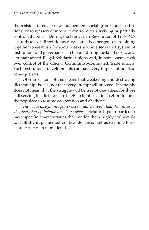the resisters to create new independent social groups and institutions, or to reassert democratic control over surviving or partially controlled bodies. During the Hungarian Revolution of 1956-1957 a multitude of direct democracy councils emerged, even joining together to establish for some weeks a whole federated system of institutions and governance. In Poland during the late 1980s workers maintained illegal Solidarity unions and, in some cases, took over control of the official, Communist-dominated, trade unions. Such institutional developments can have very important political consequences.

Of course, none of this means that weakening and destroying dictatorships is easy, nor that every attempt will succeed. It certainly does not mean that the struggle will be free of casualties, for those still serving the dictators are likely to fight back in an effort to force the populace to resume cooperation and obedience.

*The above insight into power does mean, however, that the deliberate disintegration of dictatorships is possible.* Dictatorships in particular have specific characteristics that render them highly vulnerable to skillfully implemented political defiance. Let us examine these characteristics in more detail.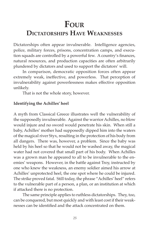### **Four Dictatorships Have Weaknesses**

Dictatorships often appear invulnerable. Intelligence agencies, police, military forces, prisons, concentration camps, and execution squads are controlled by a powerful few. A country's finances, natural resources, and production capacities are often arbitrarily plundered by dictators and used to support the dictators' will.

In comparison, democratic opposition forces often appear extremely weak, ineffective, and powerless. That perception of invulnerability against powerlessness makes effective opposition unlikely.

That is not the whole story, however.

#### **Identifying the Achilles' heel**

A myth from Classical Greece illustrates well the vulnerability of the supposedly invulnerable. Against the warrior Achilles, no blow would injure and no sword would penetrate his skin. When still a baby, Achilles' mother had supposedly dipped him into the waters of the magical river Styx, resulting in the protection of his body from all dangers. There was, however, a problem. Since the baby was held by his heel so that he would not be washed away, the magical water had not covered that small part of his body. When Achilles was a grown man he appeared to all to be invulnerable to the enemies' weapons. However, in the battle against Troy, instructed by one who knew the weakness, an enemy soldier aimed his arrow at Achilles' unprotected heel, the one spot where he could be injured. The strike proved fatal. Still today, the phrase "Achilles' heel" refers to the vulnerable part of a person, a plan, or an institution at which if attacked there is no protection.

The same principle applies to ruthless dictatorships. They, too, can be conquered, but most quickly and with least cost if their weaknesses can be identified and the attack concentrated on them.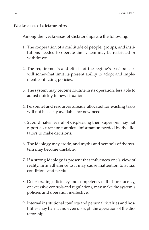#### **Weaknesses of dictatorships**

Among the weaknesses of dictatorships are the following:

- 1. The cooperation of a multitude of people, groups, and institutions needed to operate the system may be restricted or withdrawn.
- 2. The requirements and effects of the regime's past policies will somewhat limit its present ability to adopt and implement conflicting policies.
- 3. The system may become routine in its operation, less able to adjust quickly to new situations.
- 4. Personnel and resources already allocated for existing tasks will not be easily available for new needs.
- 5. Subordinates fearful of displeasing their superiors may not report accurate or complete information needed by the dictators to make decisions.
- 6. The ideology may erode, and myths and symbols of the system may become unstable.
- 7. If a strong ideology is present that influences one's view of reality, firm adherence to it may cause inattention to actual conditions and needs.
- 8. Deteriorating efficiency and competency of the bureaucracy, or excessive controls and regulations, may make the system's policies and operation ineffective.
- 9. Internal institutional conflicts and personal rivalries and hostilities may harm, and even disrupt, the operation of the dictatorship.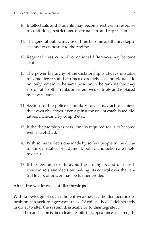- 10. Intellectuals and students may become restless in response to conditions, restrictions, doctrinalism, and repression.
- 11. The general public may over time become apathetic, skepti cal, and even hostile to the regime.
- 12. Regional, class, cultural, or national differences may become acute.
- 13. The power hierarchy of the dictatorship is always unstable to some degree, and at times extremely so. Individuals do not only remain in the same position in the ranking, but may rise or fall to other ranks or be removed entirely and replaced by new persons.
- 14. Sections of the police or military forces may act to achieve their own objectives, even against the will of established dic tators, including by coup d'état.
- 15. If the dictatorship is new, time is required for it to become well established.
- 16. With so many decisions made by so few people in the dicta torship, mistakes of judgment, policy, and action are likely to occur.
- 17. If the regime seeks to avoid these dangers and decentral izes controls and decision making, its control over the cen tral levers of power may be further eroded.

#### **Attacking weaknesses of dictatorships**

With knowledge of such inherent weaknesses, the democratic opposition can seek to aggravate these "Achilles' heels" deliberately in order to alter the system drastically or to disintegrate it.

The conclusion is then clear: despite the appearances of strength,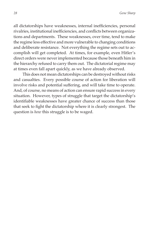all dictatorships have weaknesses, internal inefficiencies, personal rivalries, institutional inefficiencies, and conflicts between organizations and departments. These weaknesses, over time, tend to make the regime less effective and more vulnerable to changing conditions and deliberate resistance. Not everything the regime sets out to accomplish will get completed. At times, for example, even Hitler's direct orders were never implemented because those beneath him in the hierarchy refused to carry them out. The dictatorial regime may at times even fall apart quickly, as we have already observed.

This does not mean dictatorships can be destroyed without risks and casualties. Every possible course of action for liberation will involve risks and potential suffering, and will take time to operate. And, of course, no means of action can ensure rapid success in every situation. However, types of struggle that target the dictatorship's identifiable weaknesses have greater chance of success than those that seek to fight the dictatorship where it is clearly strongest. The question is *how* this struggle is to be waged.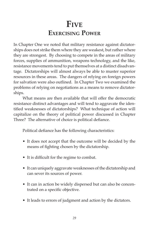# **Five Exercising Power**

In Chapter One we noted that military resistance against dictatorships does not strike them where they are weakest, but rather where they are strongest. By choosing to compete in the areas of military forces, supplies of ammunition, weapons technology, and the like, resistance movements tend to put themselves at a distinct disadvantage. Dictatorships will almost always be able to muster superior resources in these areas. The dangers of relying on foreign powers for salvation were also outlined. In Chapter Two we examined the problems of relying on negotiations as a means to remove dictatorships.

What means are then available that will offer the democratic resistance distinct advantages and will tend to aggravate the identified weaknesses of dictatorships? What technique of action will capitalize on the theory of political power discussed in Chapter Three? The alternative of choice is political defiance.

Political defiance has the following characteristics:

- It does not accept that the outcome will be decided by the means of fighting chosen by the dictatorship.
- It is difficult for the regime to combat.
- It can uniquely aggravate weaknesses of the dictatorship and can sever its sources of power.
- It can in action be widely dispersed but can also be concentrated on a specific objective.
- It leads to errors of judgment and action by the dictators.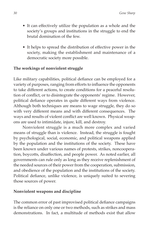- It can effectively utilize the population as a whole and the society's groups and institutions in the struggle to end the brutal domination of the few.
- It helps to spread the distribution of effective power in the society, making the establishment and maintenance of a democratic society more possible.

#### **The workings of nonviolent struggle**

Like military capabilities, political defiance can be employed for a variety of purposes, ranging from efforts to influence the opponents to take different actions, to create conditions for a peaceful resolution of conflict, or to disintegrate the opponents' regime. However, political defiance operates in quite different ways from violence. Although both techniques are means to wage struggle, they do so with very different means and with different consequences. The ways and results of violent conflict are well known. Physical weapons are used to intimidate, injure, kill, and destroy.

Nonviolent struggle is a much more complex and varied means of struggle than is violence. Instead, the struggle is fought by psychological, social, economic, and political weapons applied by the population and the institutions of the society. These have been known under various names of protests, strikes, noncooperation, boycotts, disaffection, and people power. As noted earlier, all governments can rule only as long as they receive replenishment of the needed sources of their power from the cooperation, submission, and obedience of the population and the institutions of the society. Political defiance, unlike violence, is uniquely suited to severing those sources of power.

#### **Nonviolent weapons and discipline**

The common error of past improvised political defiance campaigns is the reliance on only one or two methods, such as strikes and mass demonstrations. In fact, a multitude of methods exist that allow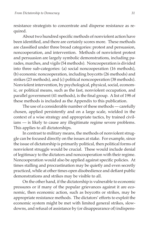resistance strategists to concentrate and disperse resistance as required.

About two hundred specific methods of nonviolent action have been identified, and there are certainly scores more. These methods are classified under three broad categories: protest and persuasion, noncooperation, and intervention. Methods of nonviolent protest and persuasion are largely symbolic demonstrations, including parades, marches, and vigils (54 methods). Noncooperation is divided into three sub-categories: (a) social noncooperation (16 methods), (b) economic noncooperation, including boycotts (26 methods) and strikes (23 methods), and (c) political noncooperation (38 methods). Nonviolent intervention, by psychological, physical, social, economic, or political means, such as the fast, nonviolent occupation, and parallel government (41 methods), is the final group. A list of 198 of these methods is included as the Appendix to this publication.

The use of a considerable number of these methods — carefully chosen, applied persistently and on a large scale, wielded in the context of a wise strategy and appropriate tactics, by trained civilians — is likely to cause any illegitimate regime severe problems. This applies to all dictatorships.

In contrast to military means, the methods of nonviolent struggle can be focused directly on the issues at stake. For example, since the issue of dictatorship is primarily political, then political forms of nonviolent struggle would be crucial. These would include denial of legitimacy to the dictators and noncooperation with their regime. Noncooperation would also be applied against specific policies. At times stalling and procrastination may be quietly and even secretly practiced, while at other times open disobedience and defiant public demonstrations and strikes may be visible to all.

On the other hand, if the dictatorship is vulnerable to economic pressures or if many of the popular grievances against it are economic, then economic action, such as boycotts or strikes, may be appropriate resistance methods. The dictators' efforts to exploit the economic system might be met with limited general strikes, slowdowns, and refusal of assistance by (or disappearance of) indispens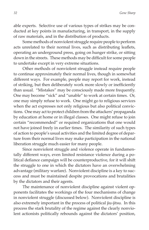able experts. Selective use of various types of strikes may be conducted at key points in manufacturing, in transport, in the supply of raw materials, and in the distribution of products.

Some methods of nonviolent struggle require people to perform acts unrelated to their normal lives, such as distributing leaflets, operating an underground press, going on hunger strike, or sitting down in the streets. These methods may be difficult for some people to undertake except in very extreme situations.

Other methods of nonviolent struggle instead require people to continue approximately their normal lives, though in somewhat different ways. For example, people may report for work, instead of striking, but then deliberately work more slowly or inefficiently than usual. "Mistakes" may be consciously made more frequently. One may become "sick" and "unable" to work at certain times. Or, one may simply refuse to work. One might go to religious services when the act expresses not only religious but also political convictions. One may act to protect children from the attackers' propaganda by education at home or in illegal classes. One might refuse to join certain "recommended" or required organizations that one would not have joined freely in earlier times. The similarity of such types of action to people's usual activities and the limited degree of departure from their normal lives may make participation in the national liberation struggle much easier for many people.

Since nonviolent struggle and violence operate in fundamentally different ways, even limited resistance violence during a political defiance campaign will be counterproductive, for it will shift the struggle to one in which the dictators have an overwhelming advantage (military warfare). Nonviolent discipline is a key to success and must be maintained despite provocations and brutalities by the dictators and their agents.

The maintenance of nonviolent discipline against violent opponents facilitates the workings of the four mechanisms of change in nonviolent struggle (discussed below). Nonviolent discipline is also extremely important in the process of political jiu-jitsu. In this process the stark brutality of the regime against the clearly nonviolent actionists politically rebounds against the dictators' position,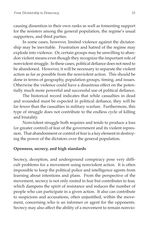causing dissention in their own ranks as well as fomenting support for the resisters among the general population, the regime's usual supporters, and third parties.

In some cases, however, limited violence against the dictatorship may be inevitable. Frustration and hatred of the regime may explode into violence. Or, certain groups may be unwilling to abandon violent means even though they recognize the important role of nonviolent struggle. In these cases, political defiance does not need to be abandoned. However, it will be necessary to separate the violent action as far as possible from the nonviolent action. This should be done in terms of geography, population groups, timing, and issues. Otherwise the violence could have a disastrous effect on the potentially much more powerful and successful use of political defiance.

The historical record indicates that while casualties in dead and wounded must be expected in political defiance, they will be far fewer than the casualties in military warfare. Furthermore, this type of struggle does not contribute to the endless cycle of killing and brutality.

Nonviolent struggle both requires and tends to produce a loss (or greater control) of fear of the government and its violent repression. That abandonment or control of fear is a key element in destroying the power of the dictators over the general population.

#### **Openness, secrecy, and high standards**

Secrecy, deception, and underground conspiracy pose very difficult problems for a movement using nonviolent action. It is often impossible to keep the political police and intelligence agents from learning about intentions and plans. From the perspective of the movement, secrecy is not only rooted in fear but contributes to fear, which dampens the spirit of resistance and reduces the number of people who can participate in a given action. It also can contribute to suspicions and accusations, often unjustified, within the movement, concerning who is an informer or agent for the opponents. Secrecy may also affect the ability of a movement to remain nonvio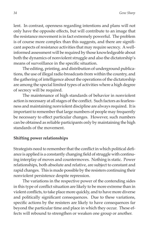lent. In contrast, openness regarding intentions and plans will not only have the opposite effects, but will contribute to an image that the resistance movement is in fact extremely powerful. The problem is of course more complex than this suggests, and there are significant aspects of resistance activities that may require secrecy. A wellinformed assessment will be required by those knowledgeable about both the dynamics of nonviolent struggle and also the dictatorship's means of surveillance in the specific situation.

The editing, printing, and distribution of underground publications, the use of illegal radio broadcasts from within the country, and the gathering of intelligence about the operations of the dictatorship are among the special limited types of activities where a high degree of secrecy will be required.

The maintenance of high standards of behavior in nonviolent action is necessary at all stages of the conflict. Such factors as fearlessness and maintaining nonviolent discipline are always required. It is important to remember that large numbers of people may frequently be necessary to effect particular changes. However, such numbers can be obtained as reliable participants only by maintaining the high standards of the movement.

#### **Shifting power relationships**

Strategists need to remember that the conflict in which political defiance is applied is a constantly changing field of struggle with continuing interplay of moves and countermoves. Nothing is static. Power relationships, both absolute and relative, are subject to constant and rapid changes. This is made possible by the resisters continuing their nonviolent persistence despite repression.

The variations in the respective power of the contending sides in this type of conflict situation are likely to be more extreme than in violent conflicts, to take place more quickly, and to have more diverse and politically significant consequences. Due to these variations, specific actions by the resisters are likely to have consequences far beyond the particular time and place in which they occur. These effects will rebound to strengthen or weaken one group or another.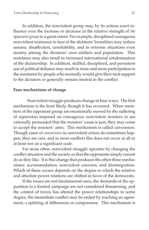In addition, the nonviolent group may, by its actions exert influence over the increase or decrease in the relative strength of *the opponent group* to a great extent. For example, disciplined courageous nonviolent resistance in face of the dictators' brutalities may induce unease, disaffection, unreliability, and in extreme situations even mutiny among the dictators' own soldiers and population. This resistance may also result in increased international condemnation of the dictatorship. In addition, skillful, disciplined, and persistent use of political defiance may result in more and more participation in the resistance by people who normally would give their tacit support to the dictators or generally remain neutral in the conflict.

#### **Four mechanisms of change**

Nonviolent struggle produces change in four ways. The first mechanism is the least likely, though it has occurred. When members of the opponent group are emotionally moved by the suffering of repression imposed on courageous nonviolent resisters or are rationally persuaded that the resisters' cause is just, they may come to accept the resisters' aims. This mechanism is called conversion. Though cases of *conversion* in nonviolent action do sometimes happen, they are rare, and in most conflicts this does not occur at all or at least not on a significant scale.

Far more often, nonviolent struggle operates by changing the conflict situation and the society so that the opponents simply cannot do as they like. It is this change that produces the other three mechanisms: accommodation, nonviolent coercion, and disintegration. Which of these occurs depends on the degree to which the relative and absolute power relations are shifted in favor of the democrats.

If the issues are not fundamental ones, the demands of the opposition in a limited campaign are not considered threatening, and the contest of forces has altered the power relationships to some degree, the immediate conflict may be ended by reaching an agreement, a splitting of differences or compromise. This mechanism is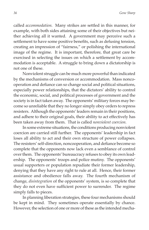called *accommodation.* Many strikes are settled in this manner, for example, with both sides attaining some of their objectives but neither achieving all it wanted. A government may perceive such a settlement to have some positive benefits, such as defusing tension, creating an impression of "fairness," or polishing the international image of the regime. It is important, therefore, that great care be exercised in selecting the issues on which a settlement by accommodation is acceptable. A struggle to bring down a dictatorship is not one of these.

Nonviolent struggle can be much more powerful than indicated by the mechanisms of conversion or accommodation. Mass noncooperation and defiance can so change social and political situations, especially power relationships, that the dictators' ability to control the economic, social, and political processes of government and the society is in fact taken away. The opponents' military forces may become so unreliable that they no longer simply obey orders to repress resisters. Although the opponents' leaders remain in their positions, and adhere to their original goals, their ability to act effectively has been taken away from them. That is called *nonviolent coercion.*

In some extreme situations, the conditions producing nonviolent coercion are carried still further. The opponents' leadership in fact loses all ability to act and their own structure of power collapses. The resisters' self-direction, noncooperation, and defiance become so complete that the opponents now lack even a semblance of control over them. The opponents' bureaucracy refuses to obey its own leadership. The opponents' troops and police mutiny. The opponents' usual supporters or population repudiate their former leadership, denying that they have any right to rule at all. Hence, their former assistance and obedience falls away. The fourth mechanism of change, *disintegration* of the opponents' system, is so complete that they do not even have sufficient power to surrender. The regime simply falls to pieces.

In planning liberation strategies, these four mechanisms should be kept in mind. They sometimes operate essentially by chance. However, the selection of one or more of these as the intended mecha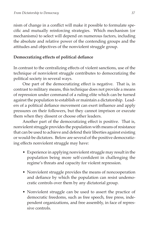nism of change in a conflict will make it possible to formulate specific and mutually reinforcing strategies. Which mechanism (or mechanisms) to select will depend on numerous factors, including the absolute and relative power of the contending groups and the attitudes and objectives of the nonviolent struggle group.

### **Democratizing effects of political defiance**

In contrast to the centralizing effects of violent sanctions, use of the technique of nonviolent struggle contributes to democratizing the political society in several ways.

One part of the democratizing effect is negative. That is, in contrast to military means, this technique does not provide a means of repression under command of a ruling elite which can be turned against the population to establish or maintain a dictatorship. Leaders of a political defiance movement can exert influence and apply pressures on their followers, but they cannot imprison or execute them when they dissent or choose other leaders.

Another part of the democratizing effect is positive. That is, nonviolent struggle provides the population with means of resistance that can be used to achieve and defend their liberties against existing or would-be dictators. Below are several of the positive democratizing effects nonviolent struggle may have:

- Experience in applying nonviolent struggle may result in the population being more self-confident in challenging the regime's threats and capacity for violent repression.
- Nonviolent struggle provides the means of noncooperation and defiance by which the population can resist undemocratic controls over them by any dictatorial group.
- Nonviolent struggle can be used to assert the practice of democratic freedoms, such as free speech, free press, independent organizations, and free assembly, in face of repressive controls.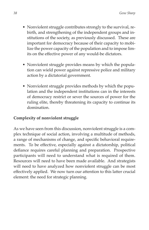- Nonviolent struggle contributes strongly to the survival, rebirth, and strengthening of the independent groups and institutions of the society, as previously discussed. These are important for democracy because of their capacity to mobilize the power capacity of the population and to impose limits on the effective power of any would-be dictators.
- Nonviolent struggle provides means by which the population can wield power against repressive police and military action by a dictatorial government.
- Nonviolent struggle provides methods by which the population and the independent institutions can in the interests of democracy restrict or sever the sources of power for the ruling elite, thereby threatening its capacity to continue its domination.

#### **Complexity of nonviolent struggle**

As we have seen from this discussion, nonviolent struggle is a complex technique of social action, involving a multitude of methods, a range of mechanisms of change, and specific behavioral requirements. To be effective, especially against a dictatorship, political defiance requires careful planning and preparation. Prospective participants will need to understand what is required of them. Resources will need to have been made available. And strategists will need to have analyzed how nonviolent struggle can be most effectively applied. We now turn our attention to this latter crucial element: the need for strategic planning.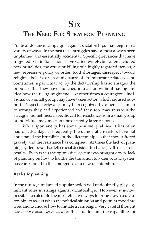# **Six**

## **The Need For Strategic Planning**

Political defiance campaigns against dictatorships may begin in a variety of ways. In the past these struggles have almost always been unplanned and essentially accidental. Specific grievances that have triggered past initial actions have varied widely, but often included new brutalities, the arrest or killing of a highly regarded person, a new repressive policy or order, food shortages, disrespect toward religious beliefs, or an anniversary of an important related event. Sometimes, a particular act by the dictatorship has so enraged the populace that they have launched into action without having any idea how the rising might end. At other times a courageous individual or a small group may have taken action which aroused support. A specific grievance may be recognized by others as similar to wrongs they had experienced and they, too, may thus join the struggle. Sometimes, a specific call for resistance from a small group or individual may meet an unexpectedly large response.

While spontaneity has some positive qualities, it has often had disadvantages. Frequently, the democratic resisters have not anticipated the brutalities of the dictatorship, so that they suffered gravely and the resistance has collapsed. At times the lack of planning by democrats has left crucial decisions to chance, with disastrous results. Even when the oppressive system was brought down, lack of planning on how to handle the transition to a democratic system has contributed to the emergence of a new dictatorship.

### **Realistic planning**

In the future, unplanned popular action will undoubtedly play significant roles in risings against dictatorships. However, it is now possible to calculate the most effective ways to bring down a dictatorship, to assess when the political situation and popular mood are ripe, and to choose how to initiate a campaign. Very careful thought *based on a realistic assessment* of the situation and the capabilities of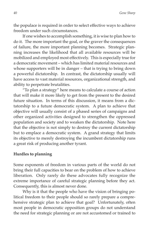the populace is required in order to select effective ways to achieve freedom under such circumstances.

If one wishes to accomplish something, it is wise to plan how to do it. The more important the goal, or the graver the consequences of failure, the more important planning becomes. Strategic planning increases the likelihood that all available resources will be mobilized and employed most effectively. This is especially true for a democratic movement – which has limited material resources and whose supporters will be in danger – that is trying to bring down a powerful dictatorship. In contrast, the dictatorship usually will have access to vast material resources, organizational strength, and ability to perpetrate brutalities.

"To plan a strategy" here means to calculate a course of action that will make it more likely to get from the present to the desired future situation. In terms of this discussion, it means from a dictatorship to a future democratic system. A plan to achieve that objective will usually consist of a phased series of campaigns and other organized activities designed to strengthen the oppressed population and society and to weaken the dictatorship. Note here that the objective is not simply to destroy the current dictatorship but to emplace a democratic system. A grand strategy that limits its objective to merely destroying the incumbent dictatorship runs a great risk of producing another tyrant.

#### **Hurdles to planning**

Some exponents of freedom in various parts of the world do not bring their full capacities to bear on the problem of how to achieve liberation. Only rarely do these advocates fully recognize the extreme importance of careful strategic planning before they act. Consequently, this is almost never done.

Why is it that the people who have the vision of bringing political freedom to their people should so rarely prepare a comprehensive strategic plan to achieve that goal? Unfortunately, often most people in democratic opposition groups do not understand the need for strategic planning or are not accustomed or trained to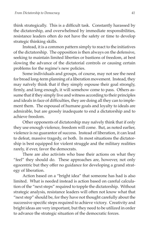think strategically. This is a difficult task. Constantly harassed by the dictatorship, and overwhelmed by immediate responsibilities, resistance leaders often do not have the safety or time to develop strategic thinking skills.

Instead, it is a common pattern simply to react to the initiatives of the dictatorship. The opposition is then always on the defensive, seeking to maintain limited liberties or bastions of freedom, at best slowing the advance of the dictatorial controls or causing certain problems for the regime's new policies.

Some individuals and groups, of course, may not see the need for broad long-term planning of a liberation movement. Instead, they may naïvely think that if they simply espouse their goal strongly, firmly, and long enough, it will somehow come to pass. Others assume that if they simply live and witness according to their principles and ideals in face of difficulties, they are doing all they can to implement them. The espousal of humane goals and loyalty to ideals are admirable, but are grossly inadequate to end a dictatorship and to achieve freedom.

Other opponents of dictatorship may naïvely think that if only they use enough violence, freedom will come. But, as noted earlier, violence is no guarantor of success. Instead of liberation, it can lead to defeat, massive tragedy, or both. In most situations the dictatorship is best equipped for violent struggle and the military realities rarely, if ever, favor the democrats.

There are also activists who base their actions on what they "feel" they should do. These approaches are, however, not only egocentric but they offer no guidance for developing a grand strategy of liberation.

Action based on a "bright idea" that someone has had is also limited. What is needed instead is action based on careful calculation of the "next steps" required to topple the dictatorship. Without strategic analysis, resistance leaders will often not know what that "next step" should be, for they have not thought carefully about the successive specific steps required to achieve victory. Creativity and bright ideas are very important, but they need to be utilized in order to advance the strategic situation of the democratic forces.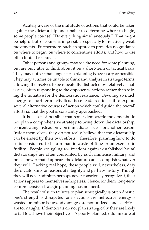Acutely aware of the multitude of actions that could be taken against the dictatorship and unable to determine where to begin, some people counsel "Do everything simultaneously." That might be helpful but, of course, is impossible, especially for relatively weak movements. Furthermore, such an approach provides no guidance on where to begin, on where to concentrate efforts, and how to use often limited resources.

Other persons and groups may see the need for some planning, but are only able to think about it on a short-term or tactical basis. They may not see that longer-term planning is necessary or possible. They may at times be unable to think and analyze in strategic terms, allowing themselves to be repeatedly distracted by relatively small issues, often responding to the opponents' actions rather than seizing the initiative for the democratic resistance. Devoting so much energy to short-term activities, these leaders often fail to explore several alternative courses of action which could guide the overall efforts so that the goal is constantly approached.

It is also just possible that some democratic movements do not plan a comprehensive strategy to bring down the dictatorship, concentrating instead only on immediate issues, for another reason. Inside themselves, they do not really believe that the dictatorship can be ended by their own efforts. Therefore, planning how to do so is considered to be a romantic waste of time or an exercise in futility. People struggling for freedom against established brutal dictatorships are often confronted by such immense military and police power that it appears the dictators can accomplish whatever they will. Lacking real hope, these people will, nevertheless, defy the dictatorship for reasons of integrity and perhaps history. Though they will never admit it, perhaps never consciously recognize it, their actions appear to themselves as hopeless. Hence, for them, long-term comprehensive strategic planning has no merit.

The result of such failures to plan strategically is often drastic: one's strength is dissipated, one's actions are ineffective, energy is wasted on minor issues, advantages are not utilized, and sacrifices are for naught. If democrats do not plan strategically they are likely to fail to achieve their objectives. A poorly planned, odd mixture of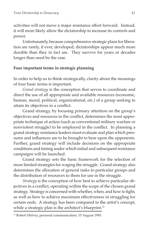activities will not move a major resistance effort forward. Instead, it will more likely allow the dictatorship to increase its controls and power.

Unfortunately, because comprehensive strategic plans for liberation are rarely, if ever, developed, dictatorships appear much more durable than they in fact are. They survive for years or decades longer than need be the case.

### **Four important terms in strategic planning**

In order to help us to think strategically, clarity about the meanings of four basic terms is important.

*Grand strategy* is the conception that serves to coordinate and direct the use of all appropriate and available resources (economic, human, moral, political, organizational, etc.) of a group seeking to attain its objectives in a conflict.

Grand strategy, by focusing primary attention on the group's objectives and resources in the conflict, determines the most appropriate technique of action (such as conventional military warfare or nonviolent struggle) to be employed in the conflict. In planning a grand strategy resistance leaders must evaluate and plan which pressures and influences are to be brought to bear upon the opponents. Further, grand strategy will include decisions on the appropriate conditions and timing under which initial and subsequent resistance campaigns will be launched.

Grand strategy sets the basic framework for the selection of more limited strategies for waging the struggle. Grand strategy also determines the allocation of general tasks to particular groups and the distribution of resources to them for use in the struggle.

*Strategy* is the conception of how best to achieve particular objectives in a conflict, operating within the scope of the chosen grand strategy. Strategy is concerned with whether, when, and how to fight, as well as how to achieve maximum effectiveness in struggling for certain ends. A strategy has been compared to the artist's concept, while a strategic plan is the architect's blueprint.<sup>12</sup>

<sup>&</sup>lt;sup>12</sup> Robert Helvey, personal communication, 15 August 1993.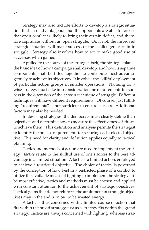Strategy may also include efforts to develop a strategic situation that is so advantageous that the opponents are able to foresee that open conflict is likely to bring their certain defeat, and therefore capitulate without an open struggle. Or, if not, the improved strategic situation will make success of the challengers certain in struggle. Strategy also involves how to act to make good use of successes when gained.

Applied to the course of the struggle itself, the strategic plan is the basic idea of how a campaign shall develop, and how its separate components shall be fitted together to contribute most advantageously to achieve its objectives. It involves the skillful deployment of particular action groups in smaller operations. Planning for a wise strategy must take into consideration the requirements for success in the operation of the chosen technique of struggle. Different techniques will have different requirements. Of course, just fulfilling "requirements" is not sufficient to ensure success. Additional factors may also be needed.

In devising strategies, the democrats must clearly define their objectives and determine how to measure the effectiveness of efforts to achieve them. This definition and analysis permits the strategist to identify the precise requirements for securing each selected objective. This need for clarity and definition applies equally to tactical planning.

Tactics and methods of action are used to implement the strategy. *Tactics* relate to the skillful use of one's forces to the best advantage in a limited situation. A tactic is a limited action, employed to achieve a restricted objective. The choice of tactics is governed by the conception of how best in a restricted phase of a conflict to utilize the available means of fighting to implement the strategy. To be most effective, tactics and methods must be chosen and applied with constant attention to the achievement of strategic objectives. Tactical gains that do not reinforce the attainment of strategic objectives may in the end turn out to be wasted energy.

A tactic is thus concerned with a limited course of action that fits within the broad strategy, just as a strategy fits within the grand strategy. Tactics are always concerned with fighting, whereas strat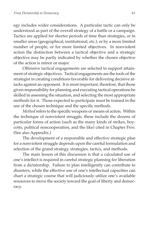egy includes wider considerations. A particular tactic can only be understood as part of the overall strategy of a battle or a campaign. Tactics are applied for shorter periods of time than strategies, or in smaller areas (geographical, institutional, etc.), or by a more limited number of people, or for more limited objectives. In nonviolent action the distinction between a tactical objective and a strategic objective may be partly indicated by whether the chosen objective of the action is minor or major.

Offensive tactical engagements are selected to support attainment of strategic objectives. Tactical engagements are the tools of the strategist in creating conditions favorable for delivering decisive attacks against an opponent. It is most important, therefore, that those given responsibility for planning and executing tactical operations be skilled in assessing the situation, and selecting the most appropriate methods for it. Those expected to participate must be trained in the use of the chosen technique and the specific methods.

*Method* refers to the specific weapons or means of action. Within the technique of nonviolent struggle, these include the dozens of particular forms of action (such as the many kinds of strikes, boycotts, political noncooperation, and the like) cited in Chapter Five. (See also Appendix.)

The development of a responsible and effective strategic plan for a nonviolent struggle depends upon the careful formulation and selection of the grand strategy, strategies, tactics, and methods.

The main lesson of this discussion is that a calculated use of one's intellect is required in careful strategic planning for liberation from a dictatorship. Failure to plan intelligently can contribute to disasters, while the effective use of one's intellectual capacities can chart a strategic course that will judiciously utilize one's available resources to move the society toward the goal of liberty and democracy.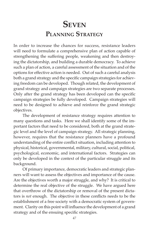# **Seven Planning Strategy**

In order to increase the chances for success, resistance leaders will need to formulate a comprehensive plan of action capable of strengthening the suffering people, weakening and then destroying the dictatorship, and building a durable democracy. To achieve such a plan of action, a careful assessment of the situation and of the options for effective action is needed. Out of such a careful analysis both a grand strategy and the specific campaign strategies for achieving freedom can be developed. Though related, the development of grand strategy and campaign strategies are two separate processes. Only after the grand strategy has been developed can the specific campaign strategies be fully developed. Campaign strategies will need to be designed to achieve and reinforce the grand strategic objectives.

The development of resistance strategy requires attention to many questions and tasks. Here we shall identify some of the important factors that need to be considered, both at the grand strategic level and the level of campaign strategy. All strategic planning, however, requires that the resistance planners have a profound understanding of the entire conflict situation, including attention to physical, historical, governmental, military, cultural, social, political, psychological, economic, and international factors. Strategies can only be developed in the context of the particular struggle and its background.

Of primary importance, democratic leaders and strategic planners will want to assess the objectives and importance of the cause. Are the objectives worth a major struggle, and why? It is critical to determine the real objective of the struggle. We have argued here that overthrow of the dictatorship or removal of the present dictators is *not* enough. The objective in these conflicts needs to be the establishment of a free society with a democratic system of government. Clarity on this point will influence the development of a grand strategy and of the ensuing specific strategies.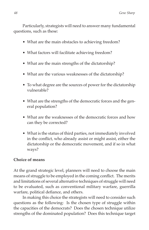Particularly, strategists will need to answer many fundamental questions, such as these:

- What are the main obstacles to achieving freedom?
- What factors will facilitate achieving freedom?
- What are the main strengths of the dictatorship?
- What are the various weaknesses of the dictatorship?
- To what degree are the sources of power for the dictatorship vulnerable?
- What are the strengths of the democratic forces and the general population?
- What are the weaknesses of the democratic forces and how can they be corrected?
- What is the status of third parties, not immediately involved in the conflict, who already assist or might assist, either the dictatorship or the democratic movement, and if so in what ways?

### **Choice of means**

At the grand strategic level, planners will need to choose the main means of struggle to be employed in the coming conflict. The merits and limitations of several alternative techniques of struggle will need to be evaluated, such as conventional military warfare, guerrilla warfare, political defiance, and others.

In making this choice the strategists will need to consider such questions as the following: Is the chosen type of struggle within the capacities of the democrats? Does the chosen technique utilize strengths of the dominated population? Does this technique target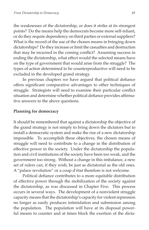the weaknesses of the dictatorship, or does it strike at its strongest points? Do the means help the democrats become more self-reliant, or do they require dependency on third parties or external suppliers? What is the record of the use of the chosen means in bringing down dictatorships? Do they increase or limit the casualties and destruction that may be incurred in the coming conflict? Assuming success in ending the dictatorship, what effect would the selected means have on the type of government that would arise from the struggle? The types of action determined to be counterproductive will need to be excluded in the developed grand strategy.

In previous chapters we have argued that political defiance offers significant comparative advantages to other techniques of struggle. Strategists will need to examine their particular conflict situation and determine whether political defiance provides affirmative answers to the above questions.

#### **Planning for democracy**

It should be remembered that against a dictatorship the objective of the grand strategy is not simply to bring down the dictators but to install a democratic system and make the rise of a new dictatorship impossible. To accomplish these objectives, the chosen means of struggle will need to contribute to a change in the distribution of effective power in the society. Under the dictatorship the population and civil institutions of the society have been too weak, and the government too strong. Without a change in this imbalance, a new set of rulers can, if they wish, be just as dictatorial as the old ones. A "palace revolution" or a coup d'état therefore is not welcome.

Political defiance contributes to a more equitable distribution of effective power through the mobilization of the society against the dictatorship, as was discussed in Chapter Five. This process occurs in several ways. The development of a nonviolent struggle capacity means that the dictatorship's capacity for violent repression no longer as easily produces intimidation and submission among the population. The population will have at its disposal powerful means to counter and at times block the exertion of the dicta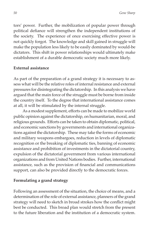tors' power. Further, the mobilization of popular power through political defiance will strengthen the independent institutions of the society. The experience of once exercising effective power is not quickly forgot. The knowledge and skill gained in struggle will make the population less likely to be easily dominated by would-be dictators. This shift in power relationships would ultimately make establishment of a durable democratic society much more likely.

#### **External assistance**

As part of the preparation of a grand strategy it is necessary to assess what will be the relative roles of internal resistance and external pressures for disintegrating the dictatorship. In this analysis we have argued that the main force of the struggle must be borne from inside the country itself. To the degree that international assistance comes at all, it will be stimulated by the internal struggle.

As a modest supplement, efforts can be made to mobilize world public opinion against the dictatorship, on humanitarian, moral, and religious grounds. Efforts can be taken to obtain diplomatic, political, and economic sanctions by governments and international organizations against the dictatorship. These may take the forms of economic and military weapons embargoes, reduction in levels of diplomatic recognition or the breaking of diplomatic ties, banning of economic assistance and prohibition of investments in the dictatorial country, expulsion of the dictatorial government from various international organizations and from United Nations bodies. Further, international assistance, such as the provision of financial and communications support, can also be provided directly to the democratic forces.

#### **Formulating a grand strategy**

Following an assessment of the situation, the choice of means, and a determination of the role of external assistance, planners of the grand strategy will need to sketch in broad strokes how the conflict might best be conducted. This broad plan would stretch from the present to the future liberation and the institution of a democratic system.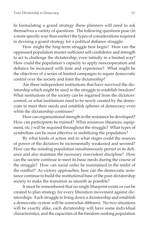In formulating a grand strategy these planners will need to ask themselves a variety of questions. The following questions pose (in a more specific way than earlier) the types of considerations required in devising a grand strategy for a political defiance struggle:

How might the long-term struggle best begin? How can the oppressed population muster sufficient self-confidence and strength to act to challenge the dictatorship, even initially in a limited way? How could the population's capacity to apply noncooperation and defiance be increased with time and experience? What might be the objectives of a series of limited campaigns to regain democratic control over the society and limit the dictatorship?

Are there independent institutions that have survived the dictatorship which might be used in the struggle to establish freedom? What institutions of the society can be regained from the dictators' control, or what institutions need to be newly created by the democrats to meet their needs and establish spheres of democracy even while the dictatorship continues?

How can organizational strength in the resistance be developed? How can participants be trained? What resources (finances, equipment, etc.) will be required throughout the struggle? What types of symbolism can be most effective in mobilizing the population?

By what kinds of action and in what stages could the sources of power of the dictators be incrementally weakened and severed? How can the resisting population simultaneously persist in its defiance and also maintain the necessary nonviolent discipline? How can the society continue to meet its basic needs during the course of the struggle? How can social order be maintained in the midst of the conflict? As victory approaches, how can the democratic resistance continue to build the institutional base of the post-dictatorship society to make the transition as smooth as possible?

It must be remembered that no single blueprint exists or can be created to plan strategy for every liberation movement against dictatorships. Each struggle to bring down a dictatorship and establish a democratic system will be somewhat different. No two situations will be exactly alike, each dictatorship will have some individual characteristics, and the capacities of the freedom-seeking population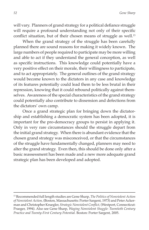will vary. Planners of grand strategy for a political defiance struggle will require a profound understanding not only of their specific conflict situation, but of their chosen means of struggle as well.<sup>13</sup>

When the grand strategy of the struggle has been carefully planned there are sound reasons for making it widely known. The large numbers of people required to participate may be more willing and able to act if they understand the general conception, as well as specific instructions. This knowledge could potentially have a very positive effect on their morale, their willingness to participate, and to act appropriately. The general outlines of the grand strategy would become known to the dictators in any case and knowledge of its features potentially could lead them to be less brutal in their repression, knowing that it could rebound politically against themselves. Awareness of the special characteristics of the grand strategy could potentially also contribute to dissension and defections from the dictators' own camp.

Once a grand strategic plan for bringing down the dictatorship and establishing a democratic system has been adopted, it is important for the pro-democracy groups to persist in applying it. Only in very rare circumstances should the struggle depart from the initial grand strategy. When there is abundant evidence that the chosen grand strategy was misconceived, or that the circumstances of the struggle have fundamentally changed, planners may need to alter the grand strategy. Even then, this should be done only after a basic reassessment has been made and a new more adequate grand strategic plan has been developed and adopted.

<sup>13</sup> Recommended full length studies are Gene Sharp, *The Politics of Nonviolent Action of Nonviolent Action,* (Boston, Massachusetts: Porter Sargent, 1973) and Peter Ackerman and Christopher Kruegler, *Strategic Nonviolent Conflict,* (Westport, Connecticut: Praeger, 1994). Also see Gene Sharp, *Waging Nonviolent Stuggle: Twentieth Century Practice and Twenty-First Century Potential.* Boston: Porter Sargent, 2005.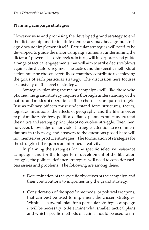#### **Planning campaign strategies**

However wise and promising the developed grand strategy to end the dictatorship and to institute democracy may be, a grand strategy does not implement itself. Particular strategies will need to be developed to guide the major campaigns aimed at undermining the dictators' power. These strategies, in turn, will incorporate and guide a range of tactical engagements that will aim to strike decisive blows against the dictators' regime. The tactics and the specific methods of action must be chosen carefully so that they contribute to achieving the goals of each particular strategy. The discussion here focuses exclusively on the level of strategy.

Strategists planning the major campaigns will, like those who planned the grand strategy, require a thorough understanding of the nature and modes of operation of their chosen technique of struggle. Just as military officers must understand force structures, tactics, logistics, munitions, the effects of geography, and the like in order to plot military strategy, political defiance planners must understand the nature and strategic principles of nonviolent struggle. Even then, however, knowledge of nonviolent struggle, attention to recommendations in this essay, and answers to the questions posed here will not themselves produce strategies. The formulation of strategies for the struggle still requires an informed creativity.

In planning the strategies for the specific selective resistance campaigns and for the longer term development of the liberation struggle, the political defiance strategists will need to consider various issues and problems. The following are among these:

- Determination of the specific objectives of the campaign and their contributions to implementing the grand strategy.
- Consideration of the specific methods, or political weapons, that can best be used to implement the chosen strategies. Within each overall plan for a particular strategic campaign it will be necessary to determine what smaller, tactical plans and which specific methods of action should be used to im-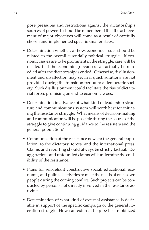pose pressures and restrictions against the dictatorship's sources of power. It should be remembered that the achievement of major objectives will come as a result of carefully chosen and implemented specific smaller steps.

- Determination whether, or how, economic issues should be related to the overall essentially political struggle. If economic issues are to be prominent in the struggle, care will be needed that the economic grievances can actually be remedied after the dictatorship is ended. Otherwise, disillusionment and disaffection may set in if quick solutions are not provided during the transition period to a democratic society. Such disillusionment could facilitate the rise of dictatorial forces promising an end to economic woes.
- Determination in advance of what kind of leadership structure and communications system will work best for initiating the resistance struggle. What means of decision-making and communication will be possible during the course of the struggle to give continuing guidance to the resisters and the general population?
- Communication of the resistance news to the general population, to the dictators' forces, and the international press. Claims and reporting should always be strictly factual. Exaggerations and unfounded claims will undermine the credibility of the resistance.
- Plans for self-reliant constructive social, educational, economic, and political activities to meet the needs of one's own people during the coming conflict. Such projects can be conducted by persons not directly involved in the resistance activities.
- Determination of what kind of external assistance is desirable in support of the specific campaign or the general liberation struggle. How can external help be best mobilized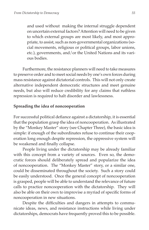and used without making the internal struggle dependent on uncertain external factors? Attention will need to be given to which external groups are most likely, and most appropriate, to assist, such as non-governmental organizations (social movements, religious or political groups, labor unions, etc.), governments, and/or the United Nations and its various bodies.

Furthermore, the resistance planners will need to take measures to preserve order and to meet social needs by one's own forces during mass resistance against dictatorial controls. This will not only create alternative independent democratic structures and meet genuine needs, but also will reduce credibility for any claims that ruthless repression is required to halt disorder and lawlessness.

#### **Spreading the idea of noncooperation**

For successful political defiance against a dictatorship, it is essential that the population grasp the idea of noncooperation. As illustrated by the "Monkey Master" story (see Chapter Three), the basic idea is simple: if enough of the subordinates refuse to continue their cooperation long enough despite repression, the oppressive system will be weakened and finally collapse.

People living under the dictatorship may be already familiar with this concept from a variety of sources. Even so, the democratic forces should deliberately spread and popularize the idea of noncooperation. The "Monkey Master" story, or a similar one, could be disseminated throughout the society. Such a story could be easily understood. Once the general concept of noncooperation is grasped, people will be able to understand the relevance of future calls to practice noncooperation with the dictatorship. They will also be able on their own to improvise a myriad of specific forms of noncooperation in new situations.

Despite the difficulties and dangers in attempts to communicate ideas, news, and resistance instructions while living under dictatorships, democrats have frequently proved this to be possible.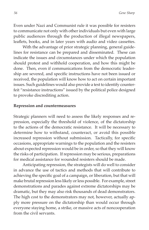Even under Nazi and Communist rule it was possible for resisters to communicate not only with other individuals but even with large public audiences through the production of illegal newspapers, leaflets, books, and in later years with audio and video cassettes.

With the advantage of prior strategic planning, general guidelines for resistance can be prepared and disseminated. These can indicate the issues and circumstances under which the population should protest and withhold cooperation, and how this might be done. Then, even if communications from the democratic leadership are severed, and specific instructions have not been issued or received, the population will know how to act on certain important issues. Such guidelines would also provide a test to identify counterfeit "resistance instructions" issued by the political police designed to provoke discrediting action.

#### **Repression and countermeasures**

Strategic planners will need to assess the likely responses and repression, especially the threshold of violence, of the dictatorship to the actions of the democratic resistance. It will be necessary to determine how to withstand, counteract, or avoid this possible increased repression without submission. Tactically, for specific occasions, appropriate warnings to the population and the resisters about expected repression would be in order, so that they will know the risks of participation. If repression may be serious, preparations for medical assistance for wounded resisters should be made.

Anticipating repression, the strategists will do well to consider in advance the use of tactics and methods that will contribute to achieving the specific goal of a campaign, or liberation, but that will make brutal repression less likely or less possible. For example, street demonstrations and parades against extreme dictatorships may be dramatic, but they may also risk thousands of dead demonstrators. The high cost to the demonstrators may not, however, actually apply more pressure on the dictatorship than would occur through everyone staying home, a strike, or massive acts of noncooperation from the civil servants.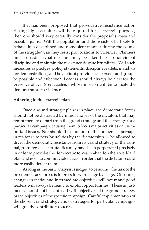If it has been proposed that provocative resistance action risking high casualties will be required for a strategic purpose, then one should very carefully consider the proposal's costs and possible gains. Will the population and the resisters be likely to behave in a disciplined and nonviolent manner during the course of the struggle? Can they resist provocations to violence? Planners must consider what measures may be taken to keep nonviolent discipline and maintain the resistance despite brutalities. Will such measures as pledges, policy statements, discipline leaflets, marshals for demonstrations, and boycotts of pro-violence persons and groups be possible and effective? Leaders should always be alert for the presence of *agents provocateurs* whose mission will be to incite the demonstrators to violence.

#### **Adhering to the strategic plan**

Once a sound strategic plan is in place, the democratic forces should not be distracted by minor moves of the dictators that may tempt them to depart from the grand strategy and the strategy for a particular campaign, causing them to focus major activities on unimportant issues. Nor should the emotions of the moment — perhaps in response to new brutalities by the dictatorship — be allowed to divert the democratic resistance from its grand strategy or the campaign strategy. The brutalities may have been perpetrated precisely in order to provoke the democratic forces to abandon their well-laid plan and even to commit violent acts in order that the dictators could more easily defeat them.

As long as the basic analysis is judged to be sound, the task of the pro-democracy forces is to press forward stage by stage. Of course, changes in tactics and intermediate objectives will occur and good leaders will always be ready to exploit opportunities. These adjustments should not be confused with objectives of the grand strategy or the objectives of the specific campaign. Careful implementation of the chosen grand strategy and of strategies for particular campaigns will greatly contribute to success.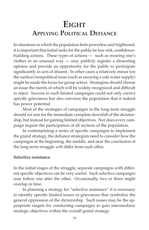# **EIGHT Applying Political Defiance**

In situations in which the population feels powerless and frightened, it is important that initial tasks for the public be low-risk, confidencebuilding actions. These types of actions — such as wearing one's clothes in an unusual way — may publicly register a dissenting opinion and provide an opportunity for the public to participate significantly in acts of dissent. In other cases a relatively minor (on the surface) nonpolitical issue (such as securing a safe water supply) might be made the focus for group action. Strategists should choose an issue the merits of which will be widely recognized and difficult to reject. Success in such limited campaigns could not only correct specific grievances but also convince the population that it indeed has power potential.

Most of the strategies of campaigns in the long-term struggle should *not* aim for the immediate complete downfall of the dictatorship, but instead for gaining limited objectives. Nor does every campaign require the participation of all sections of the population.

In contemplating a series of specific campaigns to implement the grand strategy, the defiance strategists need to consider how the campaigns at the beginning, the middle, and near the conclusion of the long-term struggle will differ from each other.

#### **Selective resistance**

In the initial stages of the struggle, separate campaigns with different specific objectives can be very useful. Such selective campaigns may follow one after the other. Occasionally, two or three might overlap in time.

In planning a strategy for "selective resistance" it is necessary to identify specific limited issues or grievances that symbolize the general oppression of the dictatorship. Such issues may be the appropriate targets for conducting campaigns to gain intermediary strategic objectives within the overall grand strategy.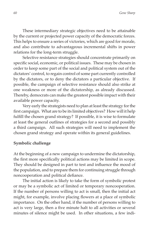These intermediary strategic objectives need to be attainable by the current or projected power capacity of the democratic forces. This helps to ensure a series of victories, which are good for morale, and also contribute to advantageous incremental shifts in power relations for the long-term struggle.

Selective resistance strategies should concentrate primarily on specific social, economic, or political issues. These may be chosen in order to keep some part of the social and political system out of the dictators' control, to regain control of some part currently controlled by the dictators, or to deny the dictators a particular objective. If possible, the campaign of selective resistance should also strike at one weakness or more of the dictatorship, as already discussed. Thereby, democrats can make the greatest possible impact with their available power capacity.

Very early the strategists need to plan at least the strategy for the first campaign. What are to be its limited objectives? How will it help fulfill the chosen grand strategy? If possible, it is wise to formulate at least the general outlines of strategies for a second and possibly a third campaign. All such strategies will need to implement the chosen grand strategy and operate within its general guidelines.

#### **Symbolic challenge**

At the beginning of a new campaign to undermine the dictatorship, the first more specifically political actions may be limited in scope. They should be designed in part to test and influence the mood of the population, and to prepare them for continuing struggle through noncooperation and political defiance.

The initial action is likely to take the form of symbolic protest or may be a symbolic act of limited or temporary noncooperation. If the number of persons willing to act is small, then the initial act might, for example, involve placing flowers at a place of symbolic importance. On the other hand, if the number of persons willing to act is very large, then a five minute halt to all activities or several minutes of silence might be used. In other situations, a few indi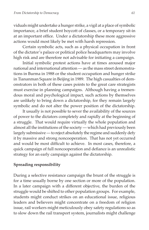viduals might undertake a hunger strike, a vigil at a place of symbolic importance, a brief student boycott of classes, or a temporary sit-in at an important office. Under a dictatorship these more aggressive actions would most likely be met with harsh repression.

Certain symbolic acts, such as a physical occupation in front of the dictator's palace or political police headquarters may involve high risk and are therefore not advisable for initiating a campaign.

Initial symbolic protest actions have at times aroused major national and international attention — as the mass street demonstrations in Burma in 1988 or the student occupation and hunger strike in Tiananman Square in Beijing in 1989. The high casualties of demonstrators in both of these cases points to the great care strategists must exercise in planning campaigns. Although having a tremendous moral and psychological impact, such actions by themselves are unlikely to bring down a dictatorship, for they remain largely symbolic and do not alter the power position of the dictatorship.

It usually is not possible to sever the availability of the sources of power to the dictators completely and rapidly at the beginning of a struggle. That would require virtually the whole population and almost all the institutions of the society — which had previously been largely submissive — to reject absolutely the regime and suddenly defy it by massive and strong noncooperation. That has not yet occurred and would be most difficult to achieve. In most cases, therefore, a quick campaign of full noncooperation and defiance is an unrealistic strategy for an early campaign against the dictatorship.

#### **Spreading responsibility**

During a selective resistance campaign the brunt of the struggle is for a time usually borne by one section or more of the population. In a later campaign with a different objective, the burden of the struggle would be shifted to other population groups. For example, students might conduct strikes on an educational issue, religious leaders and believers might concentrate on a freedom of religion issue, rail workers might meticulously obey safety regulations so as to slow down the rail transport system, journalists might challenge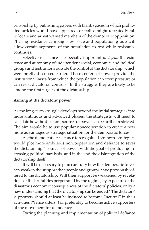censorship by publishing papers with blank spaces in which prohibited articles would have appeared, or police might repeatedly fail to locate and arrest wanted members of the democratic opposition. Phasing resistance campaigns by issue and population group will allow certain segments of the population to rest while resistance continues.

Selective resistance is especially important *to defend* the existence and autonomy of independent social, economic, and political groups and institutions outside the control of the dictatorship, which were briefly discussed earlier. These centers of power provide the institutional bases from which the population can exert pressure or can resist dictatorial controls. In the struggle, they are likely to be among the first targets of the dictatorship.

#### **Aiming at the dictators' power**

As the long-term struggle develops beyond the initial strategies into more ambitious and advanced phases, the strategists will need to calculate how the dictators' sources of power can be further restricted. The aim would be to use popular noncooperation to create a new more advantageous strategic situation for the democratic forces.

As the democratic resistance forces gained strength, strategists would plot more ambitious noncooperation and defiance to sever the dictatorships' sources of power, with the goal of producing increasing political paralysis, and in the end the disintegration of the dictatorship itself.

It will be necessary to plan carefully how the democratic forces can weaken the support that people and groups have previously offered to the dictatorship. Will their support be weakened by revelations of the brutalities perpetrated by the regime, by exposure of the disastrous economic consequences of the dictators' policies, or by a new understanding that the dictatorship can be ended? The dictators' supporters should at least be induced to become "neutral" in their activities ("fence sitters") or preferably to become active supporters of the movement for democracy.

During the planning and implementation of political defiance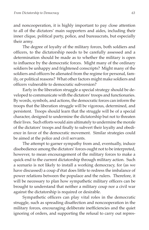and noncooperation, it is highly important to pay close attention to all of the dictators' main supporters and aides, including their inner clique, political party, police, and bureaucrats, but especially their army.

The degree of loyalty of the military forces, both soldiers and officers, to the dictatorship needs to be carefully assessed and a determination should be made as to whether the military is open to influence by the democratic forces. Might many of the ordinary soldiers be unhappy and frightened conscripts? Might many of the soldiers and officers be alienated from the regime for personal, family, or political reasons? What other factors might make soldiers and officers vulnerable to democratic subversion?

Early in the liberation struggle a special strategy should be developed to communicate with the dictators' troops and functionaries. By words, symbols, and actions, the democratic forces can inform the troops that the liberation struggle will be vigorous, determined, and persistent. Troops should learn that the struggle will be of a special character, designed to undermine the dictatorship but not to threaten their lives. Such efforts would aim ultimately to undermine the morale of the dictators' troops and finally to subvert their loyalty and obedience in favor of the democratic movement. Similar strategies could be aimed at the police and civil servants.

The attempt to garner sympathy from and, eventually, induce disobedience among the dictators' forces ought not to be interpreted, however, to mean encouragement of the military forces to make a quick end to the current dictatorship through military action. Such a scenario is not likely to install a working democracy, for (as we have discussed) a coup d'état does little to redress the imbalance of power relations between the populace and the rulers. Therefore, it will be necessary to plan how sympathetic military officers can be brought to understand that neither a military coup nor a civil war against the dictatorship is required or desirable.

Sympathetic officers can play vital roles in the democratic struggle, such as spreading disaffection and noncooperation in the military forces, encouraging deliberate inefficiencies and the quiet ignoring of orders, and supporting the refusal to carry out repres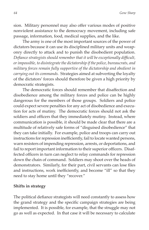sion. Military personnel may also offer various modes of positive nonviolent assistance to the democracy movement, including safe passage, information, food, medical supplies, and the like.

The army is one of the most important sources of the power of dictators because it can use its disciplined military units and weaponry directly to attack and to punish the disobedient population. *Defiance strategists should remember that it will be exceptionally difficult, or impossible, to disintegrate the dictatorship if the police, bureaucrats, and military forces remain fully supportive of the dictatorship and obedient in carrying out its commands.* Strategies aimed at subverting the loyalty of the dictators' forces should therefore be given a high priority by democratic strategists.

The democratic forces should remember that disaffection and disobedience among the military forces and police can be highly dangerous for the members of those groups. Soldiers and police could expect severe penalties for any act of disobedience and execution for acts of mutiny. The democratic forces should not ask the soldiers and officers that they immediately mutiny. Instead, where communication is possible, it should be made clear that there are a multitude of relatively safe forms of "disguised disobedience" that they can take initially. For example, police and troops can carry out instructions for repression inefficiently, fail to locate wanted persons, warn resisters of impending repression, arrests, or deportations, and fail to report important information to their superior officers. Disaffected officers in turn can neglect to relay commands for repression down the chain of command. Soldiers may shoot over the heads of demonstrators. Similarly, for their part, civil servants can lose files and instructions, work inefficiently, and become "ill" so that they need to stay home until they "recover."

#### **Shifts in strategy**

The political defiance strategists will need constantly to assess how the grand strategy and the specific campaign strategies are being implemented. It is possible, for example, that the struggle may not go as well as expected. In that case it will be necessary to calculate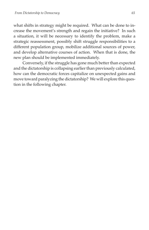what shifts in strategy might be required. What can be done to increase the movement's strength and regain the initiative? In such a situation, it will be necessary to identify the problem, make a strategic reassessment, possibly shift struggle responsibilities to a different population group, mobilize additional sources of power, and develop alternative courses of action. When that is done, the new plan should be implemented immediately.

Conversely, if the struggle has gone much better than expected and the dictatorship is collapsing earlier than previously calculated, how can the democratic forces capitalize on unexpected gains and move toward paralyzing the dictatorship? We will explore this question in the following chapter.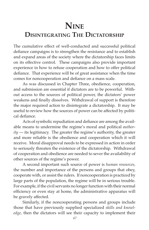# **Nine Disintegrating The Dictatorship**

The cumulative effect of well-conducted and successful political defiance campaigns is to strengthen the resistance and to establish and expand areas of the society where the dictatorship faces limits on its effective control. These campaigns also provide important experience in how to refuse cooperation and how to offer political defiance. That experience will be of great assistance when the time comes for noncooperation and defiance on a mass scale.

As was discussed in Chapter Three, obedience, cooperation, and submission are essential if dictators are to be powerful. Without access to the sources of political power, the dictators' power weakens and finally dissolves. Withdrawal of support is therefore the major required action to disintegrate a dictatorship. It may be useful to review how the sources of power can be affected by political defiance.

Acts of symbolic repudiation and defiance are among the available means to undermine the regime's moral and political *authority* — its legitimacy. The greater the regime's authority, the greater and more reliable is the obedience and cooperation which it will receive. Moral disapproval needs to be expressed in action in order to seriously threaten the existence of the dictatorship. Withdrawal of cooperation and obedience are needed to sever the availability of other sources of the regime's power.

A second important such source of power is *human resources,* the number and importance of the persons and groups that obey, cooperate with, or assist the rulers. If noncooperation is practiced by large parts of the population, the regime will be in serious trouble. For example, if the civil servants no longer function with their normal efficiency or even stay at home, the administrative apparatus will be gravely affected.

Similarly, if the noncooperating persons and groups include those that have previously supplied specialized *skills and knowledge,* then the dictators will see their capacity to implement their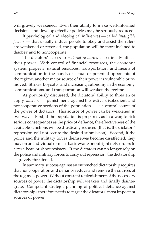will gravely weakened. Even their ability to make well-informed decisions and develop effective policies may be seriously reduced.

If psychological and ideological influences — called *intangible factors* — that usually induce people to obey and assist the rulers are weakened or reversed, the population will be more inclined to disobey and to noncooperate.

The dictators' access to *material resources* also directly affects their power. With control of financial resources, the economic system, property, natural resources, transportation, and means of communication in the hands of actual or potential opponents of the regime, another major source of their power is vulnerable or removed. Strikes, boycotts, and increasing autonomy in the economy, communications, and transportation will weaken the regime.

As previously discussed, the dictators' ability to threaten or apply *sanctions* — punishments against the restive, disobedient, and noncooperative sections of the population — is a central source of the power of dictators. This source of power can be weakened in two ways. First, if the population is prepared, as in a war, to risk serious consequences as the price of defiance, the effectiveness of the available sanctions will be drastically reduced (that is, the dictators' repression will not secure the desired submission). Second, if the police and the military forces themselves become disaffected, they may on an individual or mass basis evade or outright defy orders to arrest, beat, or shoot resisters. If the dictators can no longer rely on the police and military forces to carry out repression, the dictatorship is gravely threatened.

In summary, success against an entrenched dictatorship requires that noncooperation and defiance reduce and remove the sources of the regime's power. Without constant replenishment of the necessary sources of power the dictatorship will weaken and finally disintegrate. Competent strategic planning of political defiance against dictatorships therefore needs to target the dictators' most important sources of power.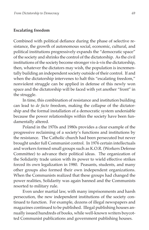#### **Escalating freedom**

Combined with political defiance during the phase of selective resistance, the growth of autonomous social, economic, cultural, and political institutions progressively expands the "democratic space" of the society and shrinks the control of the dictatorship. As the civil institutions of the society become stronger vis-à-vis the dictatorship, then, whatever the dictators may wish, the population is incrementally building an independent society outside of their control. If and when the dictatorship intervenes to halt this "escalating freedom," nonviolent struggle can be applied in defense of this newly won space and the dictatorship will be faced with yet another "front" in the struggle.

In time, this combination of resistance and institution building can lead to *de facto* freedom, making the collapse of the dictatorship and the formal installation of a democratic system undeniable because the power relationships within the society have been fundamentally altered.

Poland in the 1970s and 1980s provides a clear example of the progressive reclaiming of a society's functions and institutions by the resistance. The Catholic church had been persecuted but never brought under full Communist control. In 1976 certain intellectuals and workers formed small groups such as K.O.R. (Workers Defense Committee) to advance their political ideas. The organization of the Solidarity trade union with its power to wield effective strikes forced its own legalization in 1980. Peasants, students, and many other groups also formed their own independent organizations. When the Communists realized that these groups had changed the power realities, Solidarity was again banned and the Communists resorted to military rule.

Even under martial law, with many imprisonments and harsh persecution, the new independent institutions of the society continued to function. For example, dozens of illegal newspapers and magazines continued to be published. Illegal publishing houses annually issued hundreds of books, while well-known writers boycotted Communist publications and government publishing houses.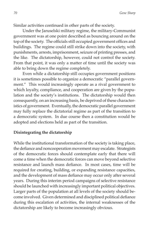Similar activities continued in other parts of the society.

Under the Jaruselski military regime, the military-Communist government was at one point described as bouncing around on the top of the society. The officials still occupied government offices and buildings. The regime could still strike down into the society, with punishments, arrests, imprisonment, seizure of printing presses, and the like. The dictatorship, however, could not control the society. From that point, it was only a matter of time until the society was able to bring down the regime completely.

Even while a dictatorship still occupies government positions it is sometimes possible to organize a democratic "parallel government." This would increasingly operate as a rival government to which loyalty, compliance, and cooperation are given by the population and the society's institutions. The dictatorship would then consequently, on an increasing basis, be deprived of these characteristics of government. Eventually, the democratic parallel government may fully replace the dictatorial regime as part of the transition to a democratic system. In due course then a constitution would be adopted and elections held as part of the transition.

#### **Disintegrating the dictatorship**

While the institutional transformation of the society is taking place, the defiance and noncooperation movement may escalate. Strategists of the democratic forces should contemplate early that there will come a time when the democratic forces can move beyond selective resistance and launch mass defiance. In most cases, time will be required for creating, building, or expanding resistance capacities, and the development of mass defiance may occur only after several years. During this interim period campaigns of selective resistance should be launched with increasingly important political objectives. Larger parts of the population at all levels of the society should become involved. Given determined and disciplined political defiance during this escalation of activities, the internal weaknesses of the dictatorship are likely to become increasingly obvious.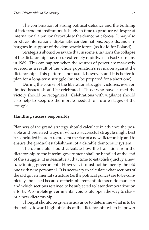The combination of strong political defiance and the building of independent institutions is likely in time to produce widespread international attention favorable to the democratic forces. It may also produce international diplomatic condemnations, boycotts, and embargoes in support of the democratic forces (as it did for Poland).

Strategists should be aware that in some situations the collapse of the dictatorship may occur extremely rapidly, as in East Germany in 1989. This can happen when the sources of power are massively severed as a result of the whole population's revulsion against the dictatorship. This pattern is not usual, however, and it is better to plan for a long-term struggle (but to be prepared for a short one).

During the course of the liberation struggle, victories, even on limited issues, should be celebrated. Those who have earned the victory should be recognized. Celebrations with vigilance should also help to keep up the morale needed for future stages of the struggle.

#### **Handling success responsibly**

Planners of the grand strategy should calculate in advance the possible and preferred ways in which a successful struggle might best be concluded in order to prevent the rise of a new dictatorship and to ensure the gradual establishment of a durable democratic system.

The democrats should calculate how the transition from the dictatorship to the interim government shall be handled at the end of the struggle. It is desirable at that time to establish quickly a new functioning government. However, it must not be merely the old one with new personnel. It is necessary to calculate what sections of the old governmental structure (as the political police) are to be completely abolished because of their inherent anti-democratic character and which sections retained to be subjected to later democratization efforts. A complete governmental void could open the way to chaos or a new dictatorship.

Thought should be given in advance to determine what is to be the policy toward high officials of the dictatorship when its power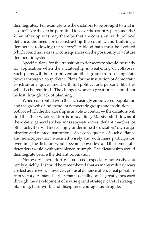disintegrates. For example, are the dictators to be brought to trial in a court? Are they to be permitted to leave the country permanently? What other options may there be that are consistent with political defiance, the need for reconstructing the country, and building a democracy following the victory? A blood bath must be avoided which could have drastic consequences on the possibility of a future democratic system.

Specific plans for the transition to democracy should be ready for application when the dictatorship is weakening or collapses. Such plans will help to prevent another group from seizing state power through a coup d'état. Plans for the institution of democratic constitutional government with full political and personal liberties will also be required. The changes won at a great price should not be lost through lack of planning.

When confronted with the increasingly empowered population and the growth of independent democratic groups and institutions both of which the dictatorship is unable to control — the dictators will find that their whole venture is unravelling. Massive shut-downs of the society, general strikes, mass stay-at-homes, defiant marches, or other activities will increasingly undermine the dictators' own organization and related institutions. As a consequence of such defiance and noncooperation, executed wisely and with mass participation over time, the dictators would become powerless and the democratic defenders would, without violence, triumph. The dictatorship would disintegrate before the defiant population.

Not every such effort will succeed, especially not easily, and rarely quickly. It should be remembered that as many military wars are lost as are won. However, political defiance offers a real possibility of victory. As stated earlier, that possibility can be greatly increased through the development of a wise grand strategy, careful strategic planning, hard work, and disciplined courageous struggle.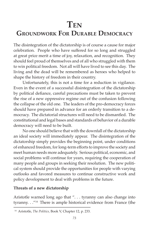## **Ten**

## **Groundwork For Durable Democracy**

The disintegration of the dictatorship is of course a cause for major celebration. People who have suffered for so long and struggled at great price merit a time of joy, relaxation, and recognition. They should feel proud of themselves and of all who struggled with them to win political freedom. Not all will have lived to see this day. The living and the dead will be remembered as heroes who helped to shape the history of freedom in their country.

Unfortunately, this is not a time for a reduction in vigilance. Even in the event of a successful disintegration of the dictatorship by political defiance, careful precautions must be taken to prevent the rise of a new oppressive regime out of the confusion following the collapse of the old one. The leaders of the pro-democracy forces should have prepared in advance for an orderly transition to a democracy. The dictatorial structures will need to be dismantled. The constitutional and legal bases and standards of behavior of a durable democracy will need to be built.

No one should believe that with the downfall of the dictatorship an ideal society will immediately appear. The disintegration of the dictatorship simply provides the beginning point, under conditions of enhanced freedom, for long-term efforts to improve the society and meet human needs more adequately. Serious political, economic, and social problems will continue for years, requiring the cooperation of many people and groups in seeking their resolution. The new political system should provide the opportunities for people with varying outlooks and favored measures to continue constructive work and policy development to deal with problems in the future.

## **Threats of a new dictatorship**

Aristotle warned long ago that ". . . tyranny can also change into tyranny. . ."14 There is ample historical evidence from France (the

 <sup>14</sup> Aristotle, *The Politics,* Book V, Chapter 12, p. 233.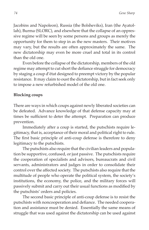Jacobins and Napoleon), Russia (the Bolsheviks), Iran (the Ayatollah), Burma (SLORC), and elsewhere that the collapse of an oppressive regime will be seen by some persons and groups as merely the opportunity for them to step in as the new masters. Their motives may vary, but the results are often approximately the same. The new dictatorship may even be more cruel and total in its control than the old one.

Even before the collapse of the dictatorship, members of the old regime may attempt to cut short the defiance struggle for democracy by staging a coup d'état designed to preempt victory by the popular resistance. It may claim to oust the dictatorship, but in fact seek only to impose a new refurbished model of the old one.

### **Blocking coups**

There are ways in which coups against newly liberated societies can be defeated. Advance knowledge of that defense capacity may at times be sufficient to deter the attempt. Preparation can produce prevention.

Immediately after a coup is started, the putschists require legitimacy, that is, acceptance of their moral and political right to rule. The first basic principle of anti-coup defense is therefore to deny legitimacy to the putschists.

The putschists also require that the civilian leaders and population be supportive, confused, or just passive. The putschists require the cooperation of specialists and advisors, bureaucrats and civil servants, administrators and judges in order to consolidate their control over the affected society. The putschists also require that the multitude of people who operate the political system, the society's institutions, the economy, the police, and the military forces will passively submit and carry out their usual functions as modified by the putschists' orders and policies.

The second basic principle of anti-coup defense is to resist the putschists with noncooperation and defiance. The needed cooperation and assistance must be denied. Essentially the same means of struggle that was used against the dictatorship can be used against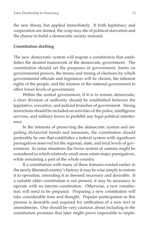the new threat, but applied immediately. If both legitimacy and cooperation are denied, the coup may die of political starvation and the chance to build a democratic society restored.

#### **Constitution drafting**

The new democratic system will require a constitution that establishes the desired framework of the democratic government. The constitution should set the purposes of government, limits on governmental powers, the means and timing of elections by which governmental officials and legislators will be chosen, the inherent rights of the people, and the relation of the national government to other lower levels of government.

Within the central government, if it is to remain democratic, a clear division of authority should be established between the legislative, executive, and judicial branches of government. Strong restrictions should be included on activities of the police, intelligence services, and military forces to prohibit any legal political interference.

In the interests of preserving the democratic system and impeding dictatorial trends and measures, the constitution should preferably be one that establishes a federal system with significant prerogatives reserved for the regional, state, and local levels of government. In some situations the Swiss system of cantons might be considered in which relatively small areas retain major prerogatives, while remaining a part of the whole country.

If a constitution with many of these features existed earlier in the newly liberated country's history, it may be wise simply to restore it to operation, amending it as deemed necessary and desirable. If a suitable older constitution is not present, it may be necessary to operate with an interim constitution. Otherwise, a new constitution will need to be prepared. Preparing a new constitution will take considerable time and thought. Popular participation in this process is desirable and required for ratification of a new text or amendments. One should be very cautious about including in the constitution promises that later might prove impossible to imple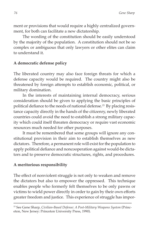ment or provisions that would require a highly centralized government, for both can facilitate a new dictatorship.

The wording of the constitution should be easily understood by the majority of the population. A constitution should not be so complex or ambiguous that only lawyers or other elites can claim to understand it.

#### **A democratic defense policy**

The liberated country may also face foreign threats for which a defense capacity would be required. The country might also be threatened by foreign attempts to establish economic, political, or military domination.

In the interests of maintaining internal democracy, serious consideration should be given to applying the basic principles of political defiance to the needs of national defense.15 By placing resistance capacity directly in the hands of the citizenry, newly liberated countries could avoid the need to establish a strong military capacity which could itself threaten democracy or require vast economic resources much needed for other purposes.

It must be remembered that some groups will ignore any constitutional provision in their aim to establish themselves as new dictators. Therefore, a permanent role will exist for the population to apply political defiance and noncooperation against would-be dictators and to preserve democratic structures, rights, and procedures.

#### **A meritorious responsibility**

The effect of nonviolent struggle is not only to weaken and remove the dictators but also to empower the oppressed. This technique enables people who formerly felt themselves to be only pawns or victims to wield power directly in order to gain by their own efforts greater freedom and justice. This experience of struggle has impor-

<sup>15</sup> See Gene Sharp, *Civilian-Based Defense: A Post-Military Weapons System* (Princeton, New Jersey: Princeton University Press, 1990).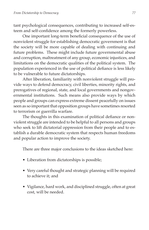tant psychological consequences, contributing to increased self-esteem and self-confidence among the formerly powerless.

One important long-term beneficial consequence of the use of nonviolent struggle for establishing democratic government is that the society will be more capable of dealing with continuing and future problems. These might include future governmental abuse and corruption, maltreatment of any group, economic injustices, and limitations on the democratic qualities of the political system. The population experienced in the use of political defiance is less likely to be vulnerable to future dictatorships.

After liberation, familiarity with nonviolent struggle will provide ways to defend democracy, civil liberties, minority rights, and prerogatives of regional, state, and local governments and nongovernmental institutions. Such means also provide ways by which people and groups can express extreme dissent peacefully on issues seen as so important that opposition groups have sometimes resorted to terrorism or guerrilla warfare.

The thoughts in this examination of political defiance or nonviolent struggle are intended to be helpful to all persons and groups who seek to lift dictatorial oppression from their people and to establish a durable democratic system that respects human freedoms and popular action to improve the society.

There are three major conclusions to the ideas sketched here:

- Liberation from dictatorships is possible;
- Very careful thought and strategic planning will be required to achieve it; and
- Vigilance, hard work, and disciplined struggle, often at great cost, will be needed.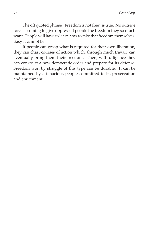The oft quoted phrase "Freedom is not free" is true. No outside force is coming to give oppressed people the freedom they so much want. People will have to learn how to take that freedom themselves. Easy it cannot be.

If people can grasp what is required for their own liberation, they can chart courses of action which, through much travail, can eventually bring them their freedom. Then, with diligence they can construct a new democratic order and prepare for its defense. Freedom won by struggle of this type can be durable. It can be maintained by a tenacious people committed to its preservation and enrichment.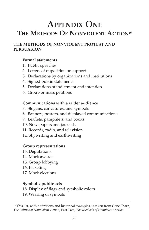# **Appendix One The Methods Of Nonviolent Action**<sup>16</sup>

## **The Methods of Nonviolent Protest and Persuasion**

## **Formal statements**

- 1. Public speeches
- 2. Letters of opposition or support
- 3. Declarations by organizations and institutions
- 4. Signed public statements
- 5. Declarations of indictment and intention
- 6. Group or mass petitions

## **Communications with a wider audience**

- 7. Slogans, caricatures, and symbols
- 8. Banners, posters, and displayed communications
- 9. Leaflets, pamphlets, and books
- 10. Newspapers and journals
- 11. Records, radio, and television
- 12. Skywriting and earthwriting

## **Group representations**

- 13. Deputations
- 14. Mock awards
- 15. Group lobbying
- 16. Picketing
- 17. Mock elections

## **Symbolic public acts**

- 18. Display of flags and symbolic colors
- 19. Wearing of symbols

<sup>&</sup>lt;sup>16</sup> This list, with definitions and historical examples, is taken from Gene Sharp, *The Politics of Nonviolent Action,* Part Two, *The Methods of Nonviolent Action.*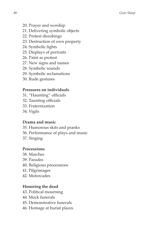- 20. Prayer and worship
- 21. Delivering symbolic objects
- 22. Protest disrobings
- 23. Destruction of own property
- 24. Symbolic lights
- 25. Displays of portraits
- 26. Paint as protest
- 27. New signs and names
- 28. Symbolic sounds
- 29. Symbolic reclamations
- 30. Rude gestures

#### **Pressures on individuals**

- 31. "Haunting" officials
- 32. Taunting officials
- 33. Fraternization
- 34. Vigils

#### **Drama and music**

- 35. Humorous skits and pranks
- 36. Performance of plays and music
- 37. Singing

#### **Processions**

- 38. Marches
- 39. Parades
- 40. Religious processions
- 41. Pilgrimages
- 42. Motorcades

#### **Honoring the dead**

- 43. Political mourning
- 44. Mock funerals
- 45. Demonstrative funerals
- 46. Homage at burial places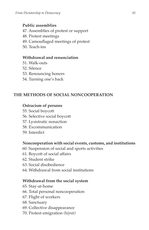#### **Public assemblies**

- 47. Assemblies of protest or support
- 48. Protest meetings
- 49. Camouflaged meetings of protest
- 50. Teach-ins

### **Withdrawal and renunciation**

- 51. Walk-outs
- 52. Silence
- 53. Renouncing honors
- 54. Turning one's back

## **THE METHODS OF SOCIAL NONCOOPERATION**

### **Ostracism of persons**

- 55. Social boycott
- 56. Selective social boycott
- 57. Lysistratic nonaction
- 58. Excommunication
- 59. Interdict

## **Noncooperation with social events, customs, and institutions**

- 60. Suspension of social and sports activities
- 61. Boycott of social affairs
- 62. Student strike
- 63. Social disobedience
- 64. Withdrawal from social institutions

## **Withdrawal from the social system**

- 65. Stay-at-home
- 66. Total personal noncooperation
- 67. Flight of workers
- 68. Sanctuary
- 69. Collective disappearance
- 70. Protest emigration *(hijrat)*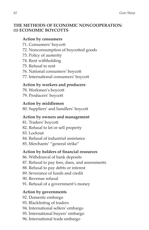## **THE METHODS OF ECONOMIC NONCOOPERATION: (1) ECONOMIC BOYCOTTS**

#### **Action by consumers**

- 71. Consumers' boycott
- 72. Nonconsumption of boycotted goods
- 73. Policy of austerity
- 74. Rent withholding
- 75. Refusal to rent
- 76. National consumers' boycott
- 77. International consumers' boycott

## **Action by workers and producers**

- 78. Workmen's boycott
- 79. Producers' boycott

## **Action by middlemen**

80. Suppliers' and handlers' boycott

## **Action by owners and management**

- 81. Traders' boycott
- 82. Refusal to let or sell property
- 83. Lockout
- 84. Refusal of industrial assistance
- 85. Merchants' "general strike"

## **Action by holders of financial resources**

- 86. Withdrawal of bank deposits
- 87. Refusal to pay fees, dues, and assessments
- 88. Refusal to pay debts or interest
- 89. Severance of funds and credit
- 90. Revenue refusal
- 91. Refusal of a government's money

## **Action by governments**

- 92. Domestic embargo
- 93. Blacklisting of traders
- 94. International sellers' embargo
- 95. International buyers' embargo
- 96. International trade embargo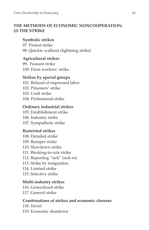## **THE METHODS OF ECONOMIC NONCOOPERATION: (2) THE STRIKE**

#### **Symbolic strikes**

97. Protest strike 98. Quickie walkout (lightning strike)

#### **Agricultural strikes**

99. Peasant strike 100. Farm workers' strike

#### **Strikes by special groups**

101. Refusal of impressed labor 102. Prisoners' strike 103. Craft strike 104. Professional strike

#### **Ordinary industrial strikes**

105. Establishment strike 106. Industry strike 107. Sympathetic strike

#### **Restricted strikes**

108. Detailed strike 109. Bumper strike 110. Slowdown strike 111. Working-to-rule strike 112. Reporting "sick" (sick-in) 113. Strike by resignation 114. Limited strike 115. Selective strike

#### **Multi-industry strikes**

116. Generalized strike

117. General strike

#### **Combinations of strikes and economic closures**

118. *Hartal* 119. Economic shutdown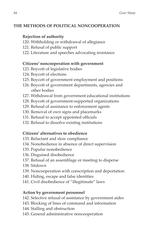#### **THE METHODS OF POLITICAL NONCOOPERATION**

#### **Rejection of authority**

- 120. Withholding or withdrawal of allegiance
- 121. Refusal of public support
- 122. Literature and speeches advocating resistance

#### **Citizens' noncooperation with government**

- 123. Boycott of legislative bodies
- 124. Boycott of elections
- 125. Boycott of government employment and positions
- 126. Boycott of government departments, agencies and other bodies
- 127. Withdrawal from government educational institutions
- 128. Boycott of government-supported organizations
- 129. Refusal of assistance to enforcement agents
- 130. Removal of own signs and placemarks
- 131. Refusal to accept appointed officials
- 132. Refusal to dissolve existing institutions

## **Citizens' alternatives to obedience**

- 133. Reluctant and slow compliance
- 134. Nonobedience in absence of direct supervision
- 135. Popular nonobedience
- 136. Disguised disobedience
- 137. Refusal of an assemblage or meeting to disperse
- 138. Sitdown
- 139. Noncooperation with conscription and deportation
- 140. Hiding, escape and false identities
- 141. Civil disobedience of "illegitimate" laws

## **Action by government personnel**

- 142. Selective refusal of assistance by government aides
- 143. Blocking of lines of command and information
- 144. Stalling and obstruction
- 145. General administrative noncooperation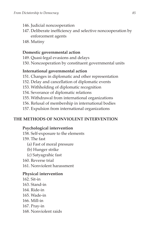- 146. Judicial noncooperation
- 147. Deliberate inefficiency and selective noncooperation by enforcement agents
- 148. Mutiny

## **Domestic governmental action**

149. Quasi-legal evasions and delays

150. Noncooperation by constituent governmental units

## **International governmental action**

- 151. Changes in diplomatic and other representation
- 152. Delay and cancellation of diplomatic events
- 153. Withholding of diplomatic recognition
- 154. Severance of diplomatic relations
- 155. Withdrawal from international organizations
- 156. Refusal of membership in international bodies
- 157. Expulsion from international organizations

## **THE METHODS OF NONVIOLENT INTERVENTION**

## **Psychological intervention**

158. Self-exposure to the elements

159. The fast

- (a) Fast of moral pressure
- (b) Hunger strike
- (c) Satyagrahic fast

160. Reverse trial

161. Nonviolent harassment

## **Physical intervention**

- 162. Sit-in
- 163. Stand-in
- 164. Ride-in
- 165. Wade-in
- 166. Mill-in
- 167. Pray-in
- 168. Nonviolent raids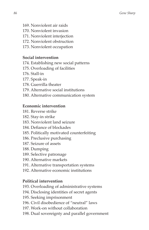- 169. Nonviolent air raids
- 170. Nonviolent invasion
- 171. Nonviolent interjection
- 172. Nonviolent obstruction
- 173. Nonviolent occupation

### **Social intervention**

- 174. Establishing new social patterns
- 175. Overloading of facilities
- 176. Stall-in
- 177. Speak-in
- 178. Guerrilla theater
- 179. Alternative social institutions
- 180. Alternative communication system

#### **Economic intervention**

- 181. Reverse strike
- 182. Stay-in strike
- 183. Nonviolent land seizure
- 184. Defiance of blockades
- 185. Politically motivated counterfeiting
- 186. Preclusive purchasing
- 187. Seizure of assets
- 188. Dumping
- 189. Selective patronage
- 190. Alternative markets
- 191. Alternative transportation systems
- 192. Alternative economic institutions

## **Political intervention**

- 193. Overloading of administrative systems
- 194. Disclosing identities of secret agents
- 195. Seeking imprisonment
- 196. Civil disobedience of "neutral" laws
- 197. Work-on without collaboration
- 198. Dual sovereignty and parallel government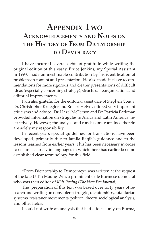## **Appendix Two Acknowledgements and Notes on the History of From Dictatorship to Democracy**

I have incurred several debts of gratitude while writing the original edition of this essay. Bruce Jenkins, my Special Assistant in 1993, made an inestimable contribution by his identification of problems in content and presentation. He also made incisive recommendations for more rigorous and clearer presentations of difficult ideas (especially concerning strategy), structural reorganization, and editorial improvements.

I am also grateful for the editorial assistance of Stephen Coady. Dr. Christopher Kruegler and Robert Helvey offered very important criticisms and advice. Dr. Hazel McFerson and Dr. Patricia Parkman provided information on struggles in Africa and Latin America, respectively. However, the analysis and conclusions contained therein are solely my responsibility.

In recent years special guidelines for translations have been developed, primarily due to Jamila Raqib's guidance and to the lessons learned from earlier years. This has been necessary in order to ensure accuracy in languages in which there has earlier been no established clear terminology for this field.

I could not write an analysis that had a focus only on Burma,

<sup>&</sup>quot;From Dictatorship to Democracy" was written at the request of the late U Tin Maung Win, a prominent exile Burmese democrat who was then editor of *Khit Pyaing (The New Era Journal).*

The preparation of this text was based over forty years of research and writing on nonviolent struggle, dictatorships, totalitarian systems, resistance movements, political theory, sociological analysis, and other fields.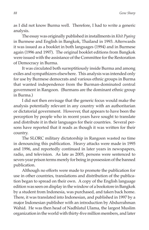as I did not know Burma well. Therefore, I had to write a generic analysis.

The essay was originally published in installments in *Khit Pyaing* in Burmese and English in Bangkok, Thailand in 1993. Afterwards it was issued as a booklet in both languages (1994) and in Burmese again (1996 and 1997). The original booklet editions from Bangkok were issued with the assistance of the Committee for the Restoration of Democracy in Burma.

It was circulated both surreptitiously inside Burma and among exiles and sympathizers elsewhere. This analysis was intended only for use by Burmese democrats and various ethnic groups in Burma that wanted independence from the Burman-dominated central government in Rangoon. (Burmans are the dominant ethnic group in Burma.)

I did not then envisage that the generic focus would make the analysis potentially relevant in any country with an authoritarian or dictatorial government. However, that appears to have been the perception by people who in recent years have sought to translate and distribute it in their languages for their countries. Several persons have reported that it reads as though it was written for their country.

The SLORC military dictatorship in Rangoon wasted no time in denouncing this publication. Heavy attacks were made in 1995 and 1996, and reportedly continued in later years in newspapers, radio, and television. As late as 2005, persons were sentenced to seven-year prison terms merely for being in possession of the banned publication.

Although no efforts were made to promote the publication for use in other countries, translations and distribution of the publication began to spread on their own. A copy of the English language edition was seen on display in the window of a bookstore in Bangkok by a student from Indonesia, was purchased, and taken back home. There, it was translated into Indonesian, and published in 1997 by a major Indonesian publisher with an introduction by Abdurrahman Wahid. He was then head of Nadhlatul Ulama, the largest Muslim organization in the world with thirty-five million members, and later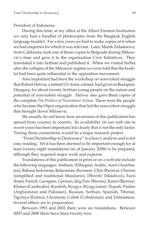President of Indonesia.

During this time, at my office at the Albert Einstein Institution we only had a handful of photocopies from the Bangkok English language booklet. For a few years we had to make copies of it when we had enquiries for which it was relevant. Later, Marek Zelaskiewz, from California, took one of those copies to Belgrade during Milosovic's time and gave it to the organization Civic Initiatives. They translated it into Serbian and published it. When we visited Serbia after the collapse of the Milosevic regime we were told that the booklet had been quite influential in the opposition movement.

Also important had been the workshop on nonviolent struggle that Robert Helvey, a retired US Army colonel, had given in Budapest, Hungary, for about twenty Serbian young people on the nature and potential of nonviolent struggle. Helvey also gave them copies of the complete *The Politics of Nonviolent Action.* These were the people who became the Otpor organization that led the nonviolent struggle that brought down Milosevic.

We usually do not know how awareness of this publication has spread from country to country. Its availability on our web site in recent years has been important, but clearly that is not the only factor. Tracing these connections would be a major research project.

"From Dictatorship to Democracy" is a heavy analysis and is not easy reading. Yet it has been deemed to be important enough for at least twenty-eight translations (as of January 2008) to be prepared, although they required major work and expense.

Translations of this publication in print or on a web site include the following languages: Amharic (Ethiopia), Arabic, Azeri (Azerbaijan), Bahasa Indonesia, Belarusian, Burmese, Chin (Burma), Chinese (simplified and traditional Mandarin), Dhivehi (Maldives), Farsi (Iran), French, Georgian, German, Jing Paw (Burma), Karen (Burma), Khmer (Cambodia), Kurdish, Kyrgyz (Kyrgyzstan), Nepali, Pashto (Afghanistan and Pakistan), Russian, Serbian, Spanish, Tibetan, Tigrinya (Eritrea), Ukrainian, Uzbek (Uzbekistan), and Vietnamese. Several others are in preparation.

Between 1993 and 2002 there were six translations. Between 2003 and 2008 there have been twenty-two.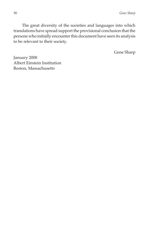The great diversity of the societies and languages into which translations have spread support the provisional conclusion that the persons who initially encounter this document have seen its analysis to be relevant to their society.

Gene Sharp

January 2008 Albert Einstein Institution Boston, Massachusetts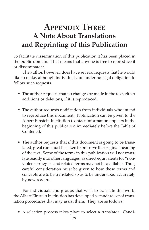# **Appendix Three A Note About Translations and Reprinting of this Publication**

To facilitate dissemination of this publication it has been placed in the public domain. That means that anyone is free to reproduce it or disseminate it.

The author, however, does have several requests that he would like to make, although individuals are under no legal obligation to follow such requests.

- The author requests that no changes be made in the text, either additions or deletions, if it is reproduced.
- The author requests notification from individuals who intend to reproduce this document. Notification can be given to the Albert Einstein Institution (contact information appears in the beginning of this publication immediately before the Table of Contents).
- The author requests that if this document is going to be trans lated, great care must be taken to preserve the original meaning of the text. Some of the terms in this publication will not trans late readily into other languages, as direct equivalents for "non violent struggle" and related terms may not be available. Thus, careful consideration must be given to how these terms and concepts are to be translated so as to be understood accurately by new readers.

For individuals and groups that wish to translate this work, the Albert Einstein Institution has developed a standard set of translation procedures that may assist them. They are as follows:

• A selection process takes place to select a translator. Candi-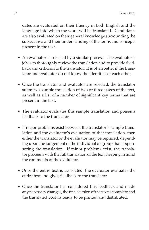dates are evaluated on their fluency in both English and the language into which the work will be translated. Candidates are also evaluated on their general knowledge surrounding the subject area and their understanding of the terms and concepts present in the text.

- An evaluator is selected by a similar process. The evaluator's job is to thoroughly review the translation and to provide feedback and criticism to the translator. It is often better if the trans lator and evaluator do not know the identities of each other.
- Once the translator and evaluator are selected, the translator submits a sample translation of two or three pages of the text, as well as a list of a number of significant key terms that are present in the text.
- The evaluator evaluates this sample translation and presents feedback to the translator.
- If major problems exist between the translator's sample trans lation and the evaluator's evaluation of that translation, then either the translator or the evaluator may be replaced, depend ing upon the judgement of the individual or group that is spon soring the translation. If minor problems exist, the transla tor proceeds with the full translation of the text, keeping in mind the comments of the evaluator.
- Once the entire text is translated, the evaluator evaluates the entire text and gives feedback to the translator.
- Once the translator has considered this feedback and made any necessary changes, the final version of the text is complete and the translated book is ready to be printed and distributed.